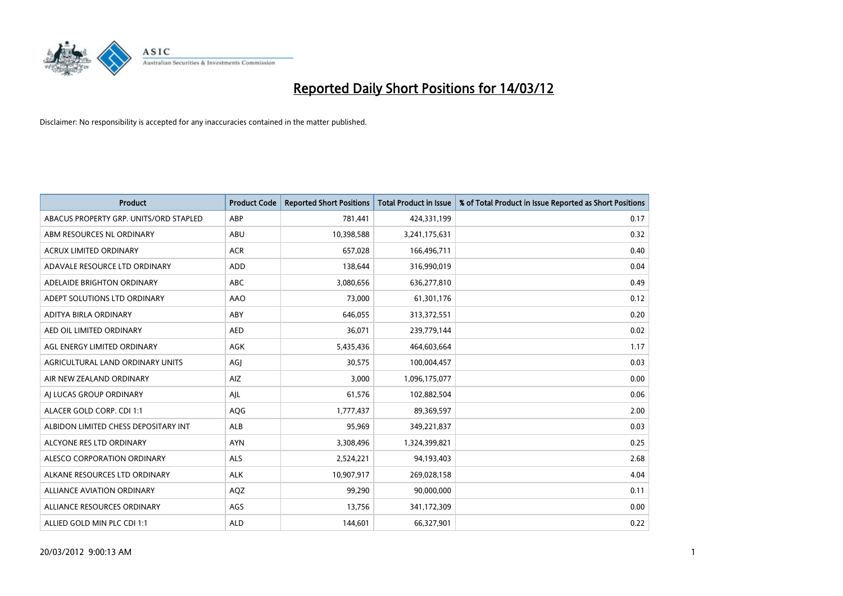

| <b>Product</b>                         | <b>Product Code</b> | <b>Reported Short Positions</b> | <b>Total Product in Issue</b> | % of Total Product in Issue Reported as Short Positions |
|----------------------------------------|---------------------|---------------------------------|-------------------------------|---------------------------------------------------------|
| ABACUS PROPERTY GRP. UNITS/ORD STAPLED | ABP                 | 781,441                         | 424,331,199                   | 0.17                                                    |
| ABM RESOURCES NL ORDINARY              | ABU                 | 10,398,588                      | 3,241,175,631                 | 0.32                                                    |
| <b>ACRUX LIMITED ORDINARY</b>          | <b>ACR</b>          | 657,028                         | 166,496,711                   | 0.40                                                    |
| ADAVALE RESOURCE LTD ORDINARY          | <b>ADD</b>          | 138,644                         | 316,990,019                   | 0.04                                                    |
| ADELAIDE BRIGHTON ORDINARY             | <b>ABC</b>          | 3,080,656                       | 636,277,810                   | 0.49                                                    |
| ADEPT SOLUTIONS LTD ORDINARY           | AAO                 | 73,000                          | 61,301,176                    | 0.12                                                    |
| ADITYA BIRLA ORDINARY                  | ABY                 | 646,055                         | 313,372,551                   | 0.20                                                    |
| AED OIL LIMITED ORDINARY               | <b>AED</b>          | 36,071                          | 239,779,144                   | 0.02                                                    |
| AGL ENERGY LIMITED ORDINARY            | AGK                 | 5,435,436                       | 464,603,664                   | 1.17                                                    |
| AGRICULTURAL LAND ORDINARY UNITS       | AGI                 | 30,575                          | 100,004,457                   | 0.03                                                    |
| AIR NEW ZEALAND ORDINARY               | AIZ                 | 3,000                           | 1,096,175,077                 | 0.00                                                    |
| AI LUCAS GROUP ORDINARY                | AJL                 | 61,576                          | 102,882,504                   | 0.06                                                    |
| ALACER GOLD CORP. CDI 1:1              | AQG                 | 1,777,437                       | 89,369,597                    | 2.00                                                    |
| ALBIDON LIMITED CHESS DEPOSITARY INT   | ALB                 | 95,969                          | 349,221,837                   | 0.03                                                    |
| ALCYONE RES LTD ORDINARY               | <b>AYN</b>          | 3,308,496                       | 1,324,399,821                 | 0.25                                                    |
| ALESCO CORPORATION ORDINARY            | <b>ALS</b>          | 2,524,221                       | 94,193,403                    | 2.68                                                    |
| ALKANE RESOURCES LTD ORDINARY          | <b>ALK</b>          | 10,907,917                      | 269,028,158                   | 4.04                                                    |
| <b>ALLIANCE AVIATION ORDINARY</b>      | AQZ                 | 99,290                          | 90,000,000                    | 0.11                                                    |
| ALLIANCE RESOURCES ORDINARY            | AGS                 | 13,756                          | 341,172,309                   | 0.00                                                    |
| ALLIED GOLD MIN PLC CDI 1:1            | <b>ALD</b>          | 144,601                         | 66,327,901                    | 0.22                                                    |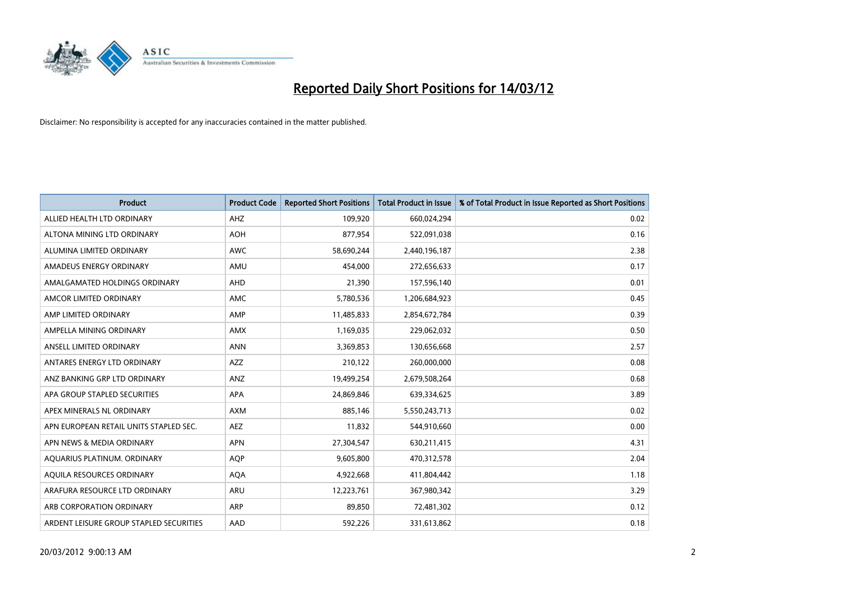

| <b>Product</b>                          | <b>Product Code</b> | <b>Reported Short Positions</b> | Total Product in Issue | % of Total Product in Issue Reported as Short Positions |
|-----------------------------------------|---------------------|---------------------------------|------------------------|---------------------------------------------------------|
| ALLIED HEALTH LTD ORDINARY              | AHZ                 | 109,920                         | 660,024,294            | 0.02                                                    |
| ALTONA MINING LTD ORDINARY              | <b>AOH</b>          | 877,954                         | 522,091,038            | 0.16                                                    |
| ALUMINA LIMITED ORDINARY                | <b>AWC</b>          | 58,690,244                      | 2,440,196,187          | 2.38                                                    |
| AMADEUS ENERGY ORDINARY                 | AMU                 | 454,000                         | 272,656,633            | 0.17                                                    |
| AMALGAMATED HOLDINGS ORDINARY           | AHD                 | 21,390                          | 157,596,140            | 0.01                                                    |
| AMCOR LIMITED ORDINARY                  | AMC                 | 5,780,536                       | 1,206,684,923          | 0.45                                                    |
| AMP LIMITED ORDINARY                    | AMP                 | 11,485,833                      | 2,854,672,784          | 0.39                                                    |
| AMPELLA MINING ORDINARY                 | AMX                 | 1,169,035                       | 229,062,032            | 0.50                                                    |
| ANSELL LIMITED ORDINARY                 | <b>ANN</b>          | 3,369,853                       | 130,656,668            | 2.57                                                    |
| ANTARES ENERGY LTD ORDINARY             | AZZ                 | 210,122                         | 260,000,000            | 0.08                                                    |
| ANZ BANKING GRP LTD ORDINARY            | ANZ                 | 19,499,254                      | 2,679,508,264          | 0.68                                                    |
| APA GROUP STAPLED SECURITIES            | APA                 | 24,869,846                      | 639,334,625            | 3.89                                                    |
| APEX MINERALS NL ORDINARY               | <b>AXM</b>          | 885,146                         | 5,550,243,713          | 0.02                                                    |
| APN EUROPEAN RETAIL UNITS STAPLED SEC.  | <b>AEZ</b>          | 11,832                          | 544,910,660            | 0.00                                                    |
| APN NEWS & MEDIA ORDINARY               | <b>APN</b>          | 27,304,547                      | 630,211,415            | 4.31                                                    |
| AQUARIUS PLATINUM. ORDINARY             | <b>AQP</b>          | 9,605,800                       | 470,312,578            | 2.04                                                    |
| AQUILA RESOURCES ORDINARY               | <b>AQA</b>          | 4,922,668                       | 411,804,442            | 1.18                                                    |
| ARAFURA RESOURCE LTD ORDINARY           | <b>ARU</b>          | 12,223,761                      | 367,980,342            | 3.29                                                    |
| ARB CORPORATION ORDINARY                | <b>ARP</b>          | 89,850                          | 72,481,302             | 0.12                                                    |
| ARDENT LEISURE GROUP STAPLED SECURITIES | AAD                 | 592,226                         | 331,613,862            | 0.18                                                    |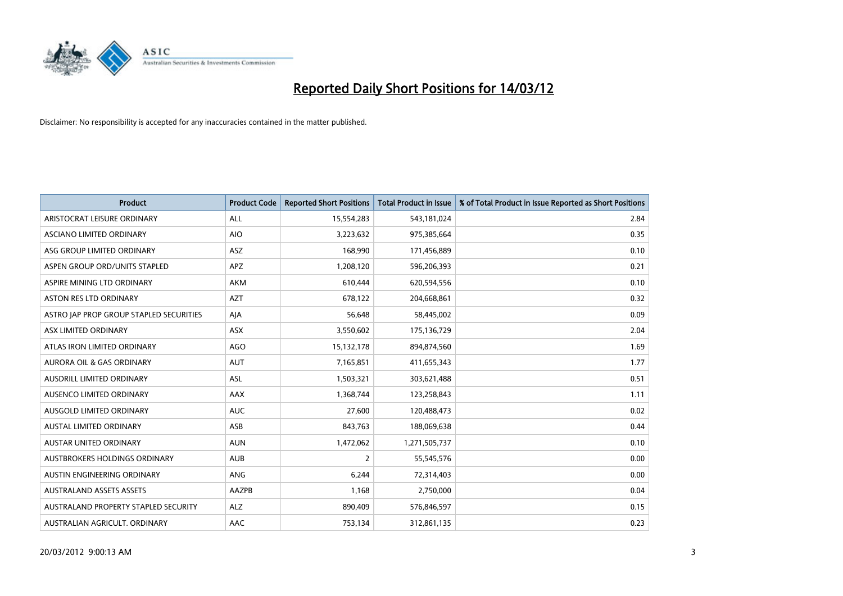

| <b>Product</b>                          | <b>Product Code</b> | <b>Reported Short Positions</b> | <b>Total Product in Issue</b> | % of Total Product in Issue Reported as Short Positions |
|-----------------------------------------|---------------------|---------------------------------|-------------------------------|---------------------------------------------------------|
| ARISTOCRAT LEISURE ORDINARY             | ALL                 | 15,554,283                      | 543,181,024                   | 2.84                                                    |
| ASCIANO LIMITED ORDINARY                | <b>AIO</b>          | 3,223,632                       | 975,385,664                   | 0.35                                                    |
| ASG GROUP LIMITED ORDINARY              | ASZ                 | 168,990                         | 171,456,889                   | 0.10                                                    |
| ASPEN GROUP ORD/UNITS STAPLED           | <b>APZ</b>          | 1,208,120                       | 596,206,393                   | 0.21                                                    |
| ASPIRE MINING LTD ORDINARY              | AKM                 | 610,444                         | 620,594,556                   | 0.10                                                    |
| <b>ASTON RES LTD ORDINARY</b>           | <b>AZT</b>          | 678,122                         | 204,668,861                   | 0.32                                                    |
| ASTRO JAP PROP GROUP STAPLED SECURITIES | AJA                 | 56,648                          | 58,445,002                    | 0.09                                                    |
| ASX LIMITED ORDINARY                    | ASX                 | 3,550,602                       | 175,136,729                   | 2.04                                                    |
| ATLAS IRON LIMITED ORDINARY             | <b>AGO</b>          | 15,132,178                      | 894,874,560                   | 1.69                                                    |
| AURORA OIL & GAS ORDINARY               | <b>AUT</b>          | 7,165,851                       | 411,655,343                   | 1.77                                                    |
| AUSDRILL LIMITED ORDINARY               | ASL                 | 1,503,321                       | 303,621,488                   | 0.51                                                    |
| AUSENCO LIMITED ORDINARY                | AAX                 | 1,368,744                       | 123,258,843                   | 1.11                                                    |
| AUSGOLD LIMITED ORDINARY                | <b>AUC</b>          | 27,600                          | 120,488,473                   | 0.02                                                    |
| <b>AUSTAL LIMITED ORDINARY</b>          | ASB                 | 843,763                         | 188,069,638                   | 0.44                                                    |
| AUSTAR UNITED ORDINARY                  | <b>AUN</b>          | 1,472,062                       | 1,271,505,737                 | 0.10                                                    |
| AUSTBROKERS HOLDINGS ORDINARY           | <b>AUB</b>          | $\overline{2}$                  | 55,545,576                    | 0.00                                                    |
| AUSTIN ENGINEERING ORDINARY             | ANG                 | 6,244                           | 72,314,403                    | 0.00                                                    |
| <b>AUSTRALAND ASSETS ASSETS</b>         | <b>AAZPB</b>        | 1.168                           | 2,750,000                     | 0.04                                                    |
| AUSTRALAND PROPERTY STAPLED SECURITY    | <b>ALZ</b>          | 890,409                         | 576,846,597                   | 0.15                                                    |
| AUSTRALIAN AGRICULT. ORDINARY           | AAC                 | 753,134                         | 312,861,135                   | 0.23                                                    |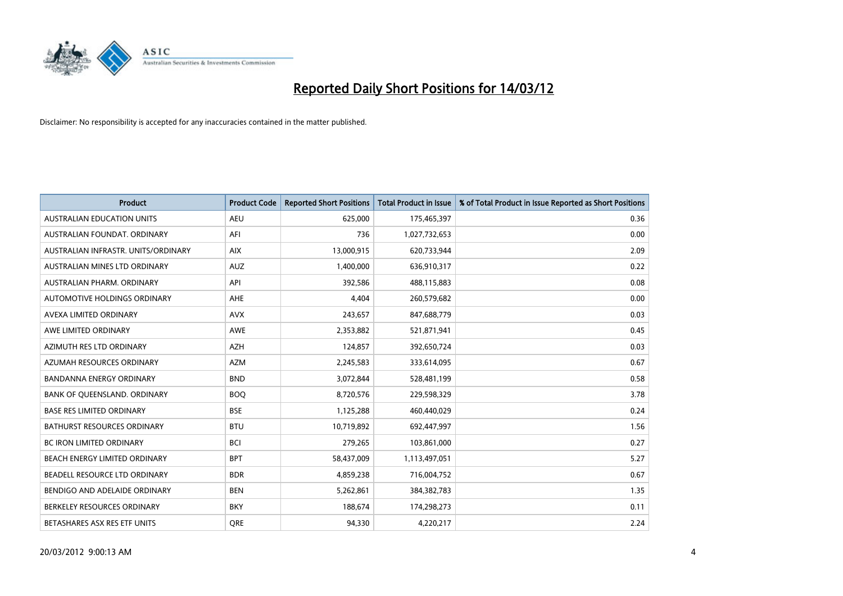

| <b>Product</b>                      | <b>Product Code</b> | <b>Reported Short Positions</b> | <b>Total Product in Issue</b> | % of Total Product in Issue Reported as Short Positions |
|-------------------------------------|---------------------|---------------------------------|-------------------------------|---------------------------------------------------------|
| <b>AUSTRALIAN EDUCATION UNITS</b>   | <b>AEU</b>          | 625,000                         | 175,465,397                   | 0.36                                                    |
| AUSTRALIAN FOUNDAT. ORDINARY        | AFI                 | 736                             | 1,027,732,653                 | 0.00                                                    |
| AUSTRALIAN INFRASTR, UNITS/ORDINARY | <b>AIX</b>          | 13,000,915                      | 620,733,944                   | 2.09                                                    |
| AUSTRALIAN MINES LTD ORDINARY       | <b>AUZ</b>          | 1,400,000                       | 636,910,317                   | 0.22                                                    |
| AUSTRALIAN PHARM, ORDINARY          | API                 | 392,586                         | 488,115,883                   | 0.08                                                    |
| AUTOMOTIVE HOLDINGS ORDINARY        | AHE                 | 4,404                           | 260,579,682                   | 0.00                                                    |
| AVEXA LIMITED ORDINARY              | <b>AVX</b>          | 243,657                         | 847,688,779                   | 0.03                                                    |
| AWE LIMITED ORDINARY                | <b>AWE</b>          | 2,353,882                       | 521,871,941                   | 0.45                                                    |
| AZIMUTH RES LTD ORDINARY            | <b>AZH</b>          | 124,857                         | 392,650,724                   | 0.03                                                    |
| AZUMAH RESOURCES ORDINARY           | <b>AZM</b>          | 2,245,583                       | 333,614,095                   | 0.67                                                    |
| <b>BANDANNA ENERGY ORDINARY</b>     | <b>BND</b>          | 3,072,844                       | 528,481,199                   | 0.58                                                    |
| BANK OF QUEENSLAND. ORDINARY        | <b>BOQ</b>          | 8,720,576                       | 229,598,329                   | 3.78                                                    |
| <b>BASE RES LIMITED ORDINARY</b>    | <b>BSE</b>          | 1,125,288                       | 460,440,029                   | 0.24                                                    |
| <b>BATHURST RESOURCES ORDINARY</b>  | <b>BTU</b>          | 10,719,892                      | 692,447,997                   | 1.56                                                    |
| <b>BC IRON LIMITED ORDINARY</b>     | <b>BCI</b>          | 279,265                         | 103,861,000                   | 0.27                                                    |
| BEACH ENERGY LIMITED ORDINARY       | <b>BPT</b>          | 58,437,009                      | 1,113,497,051                 | 5.27                                                    |
| BEADELL RESOURCE LTD ORDINARY       | <b>BDR</b>          | 4,859,238                       | 716,004,752                   | 0.67                                                    |
| BENDIGO AND ADELAIDE ORDINARY       | <b>BEN</b>          | 5,262,861                       | 384, 382, 783                 | 1.35                                                    |
| BERKELEY RESOURCES ORDINARY         | <b>BKY</b>          | 188,674                         | 174,298,273                   | 0.11                                                    |
| BETASHARES ASX RES ETF UNITS        | <b>ORE</b>          | 94,330                          | 4,220,217                     | 2.24                                                    |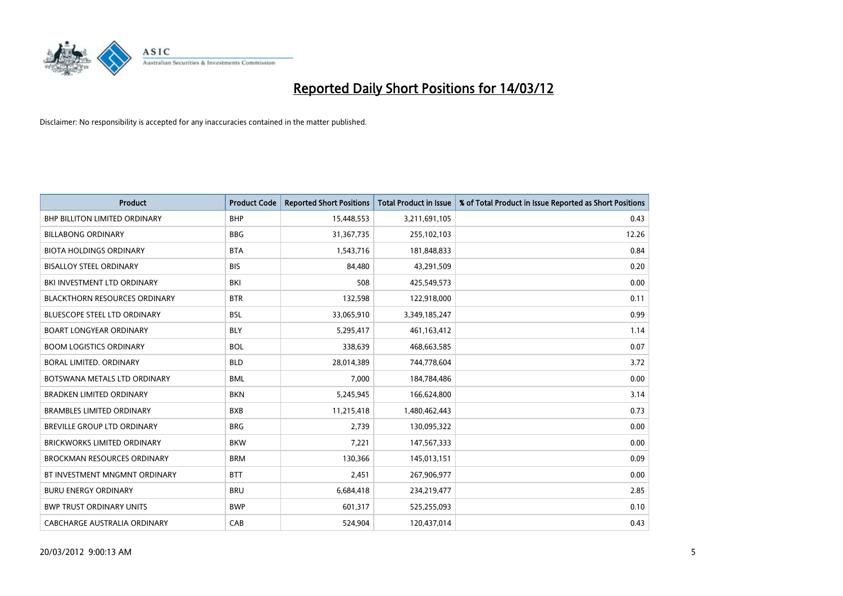

| <b>Product</b>                       | <b>Product Code</b> | <b>Reported Short Positions</b> | <b>Total Product in Issue</b> | % of Total Product in Issue Reported as Short Positions |
|--------------------------------------|---------------------|---------------------------------|-------------------------------|---------------------------------------------------------|
| <b>BHP BILLITON LIMITED ORDINARY</b> | <b>BHP</b>          | 15,448,553                      | 3,211,691,105                 | 0.43                                                    |
| <b>BILLABONG ORDINARY</b>            | <b>BBG</b>          | 31,367,735                      | 255,102,103                   | 12.26                                                   |
| <b>BIOTA HOLDINGS ORDINARY</b>       | <b>BTA</b>          | 1,543,716                       | 181,848,833                   | 0.84                                                    |
| <b>BISALLOY STEEL ORDINARY</b>       | <b>BIS</b>          | 84,480                          | 43,291,509                    | 0.20                                                    |
| BKI INVESTMENT LTD ORDINARY          | BKI                 | 508                             | 425,549,573                   | 0.00                                                    |
| <b>BLACKTHORN RESOURCES ORDINARY</b> | <b>BTR</b>          | 132,598                         | 122,918,000                   | 0.11                                                    |
| <b>BLUESCOPE STEEL LTD ORDINARY</b>  | <b>BSL</b>          | 33,065,910                      | 3,349,185,247                 | 0.99                                                    |
| <b>BOART LONGYEAR ORDINARY</b>       | <b>BLY</b>          | 5,295,417                       | 461,163,412                   | 1.14                                                    |
| <b>BOOM LOGISTICS ORDINARY</b>       | <b>BOL</b>          | 338,639                         | 468,663,585                   | 0.07                                                    |
| <b>BORAL LIMITED, ORDINARY</b>       | <b>BLD</b>          | 28,014,389                      | 744,778,604                   | 3.72                                                    |
| BOTSWANA METALS LTD ORDINARY         | <b>BML</b>          | 7,000                           | 184,784,486                   | 0.00                                                    |
| <b>BRADKEN LIMITED ORDINARY</b>      | <b>BKN</b>          | 5,245,945                       | 166,624,800                   | 3.14                                                    |
| <b>BRAMBLES LIMITED ORDINARY</b>     | <b>BXB</b>          | 11,215,418                      | 1,480,462,443                 | 0.73                                                    |
| BREVILLE GROUP LTD ORDINARY          | <b>BRG</b>          | 2,739                           | 130,095,322                   | 0.00                                                    |
| <b>BRICKWORKS LIMITED ORDINARY</b>   | <b>BKW</b>          | 7,221                           | 147,567,333                   | 0.00                                                    |
| <b>BROCKMAN RESOURCES ORDINARY</b>   | <b>BRM</b>          | 130,366                         | 145,013,151                   | 0.09                                                    |
| BT INVESTMENT MNGMNT ORDINARY        | <b>BTT</b>          | 2,451                           | 267,906,977                   | 0.00                                                    |
| <b>BURU ENERGY ORDINARY</b>          | <b>BRU</b>          | 6,684,418                       | 234,219,477                   | 2.85                                                    |
| <b>BWP TRUST ORDINARY UNITS</b>      | <b>BWP</b>          | 601,317                         | 525,255,093                   | 0.10                                                    |
| CABCHARGE AUSTRALIA ORDINARY         | CAB                 | 524,904                         | 120,437,014                   | 0.43                                                    |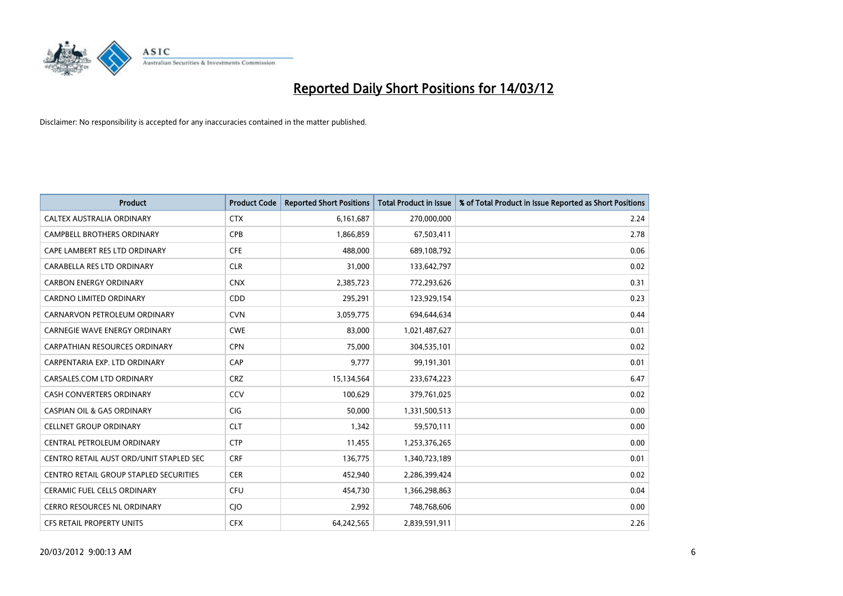

| <b>Product</b>                          | <b>Product Code</b> | <b>Reported Short Positions</b> | <b>Total Product in Issue</b> | % of Total Product in Issue Reported as Short Positions |
|-----------------------------------------|---------------------|---------------------------------|-------------------------------|---------------------------------------------------------|
| CALTEX AUSTRALIA ORDINARY               | <b>CTX</b>          | 6,161,687                       | 270,000,000                   | 2.24                                                    |
| <b>CAMPBELL BROTHERS ORDINARY</b>       | <b>CPB</b>          | 1,866,859                       | 67,503,411                    | 2.78                                                    |
| CAPE LAMBERT RES LTD ORDINARY           | <b>CFE</b>          | 488,000                         | 689,108,792                   | 0.06                                                    |
| CARABELLA RES LTD ORDINARY              | <b>CLR</b>          | 31,000                          | 133,642,797                   | 0.02                                                    |
| <b>CARBON ENERGY ORDINARY</b>           | <b>CNX</b>          | 2,385,723                       | 772,293,626                   | 0.31                                                    |
| <b>CARDNO LIMITED ORDINARY</b>          | CDD                 | 295,291                         | 123,929,154                   | 0.23                                                    |
| CARNARVON PETROLEUM ORDINARY            | <b>CVN</b>          | 3,059,775                       | 694,644,634                   | 0.44                                                    |
| CARNEGIE WAVE ENERGY ORDINARY           | <b>CWE</b>          | 83,000                          | 1,021,487,627                 | 0.01                                                    |
| <b>CARPATHIAN RESOURCES ORDINARY</b>    | <b>CPN</b>          | 75,000                          | 304,535,101                   | 0.02                                                    |
| CARPENTARIA EXP. LTD ORDINARY           | CAP                 | 9,777                           | 99,191,301                    | 0.01                                                    |
| CARSALES.COM LTD ORDINARY               | <b>CRZ</b>          | 15,134,564                      | 233,674,223                   | 6.47                                                    |
| CASH CONVERTERS ORDINARY                | CCV                 | 100,629                         | 379,761,025                   | 0.02                                                    |
| <b>CASPIAN OIL &amp; GAS ORDINARY</b>   | <b>CIG</b>          | 50,000                          | 1,331,500,513                 | 0.00                                                    |
| <b>CELLNET GROUP ORDINARY</b>           | <b>CLT</b>          | 1,342                           | 59,570,111                    | 0.00                                                    |
| CENTRAL PETROLEUM ORDINARY              | <b>CTP</b>          | 11,455                          | 1,253,376,265                 | 0.00                                                    |
| CENTRO RETAIL AUST ORD/UNIT STAPLED SEC | <b>CRF</b>          | 136,775                         | 1,340,723,189                 | 0.01                                                    |
| CENTRO RETAIL GROUP STAPLED SECURITIES  | <b>CER</b>          | 452,940                         | 2,286,399,424                 | 0.02                                                    |
| <b>CERAMIC FUEL CELLS ORDINARY</b>      | <b>CFU</b>          | 454,730                         | 1,366,298,863                 | 0.04                                                    |
| <b>CERRO RESOURCES NL ORDINARY</b>      | CJO                 | 2,992                           | 748,768,606                   | 0.00                                                    |
| <b>CFS RETAIL PROPERTY UNITS</b>        | <b>CFX</b>          | 64,242,565                      | 2,839,591,911                 | 2.26                                                    |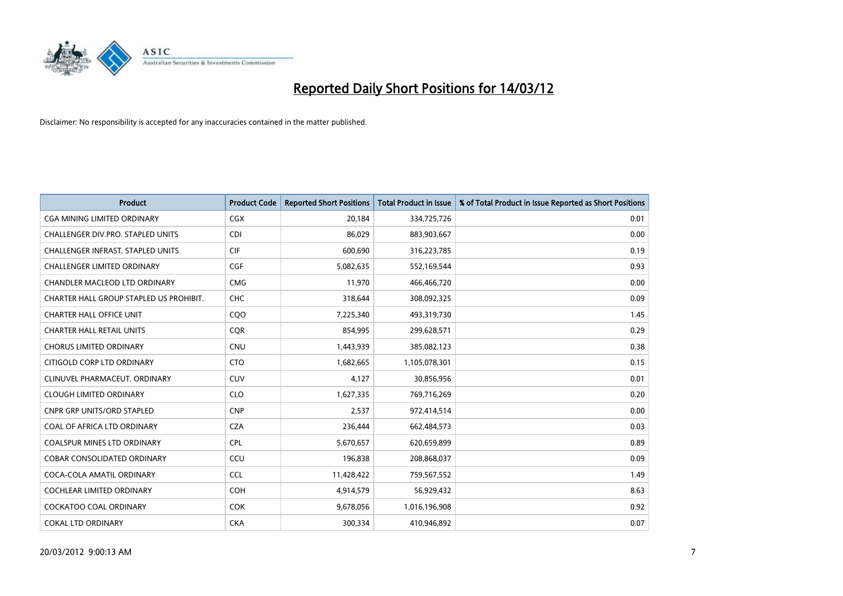

| Product                                  | <b>Product Code</b> | <b>Reported Short Positions</b> | <b>Total Product in Issue</b> | % of Total Product in Issue Reported as Short Positions |
|------------------------------------------|---------------------|---------------------------------|-------------------------------|---------------------------------------------------------|
| CGA MINING LIMITED ORDINARY              | CGX                 | 20,184                          | 334,725,726                   | 0.01                                                    |
| CHALLENGER DIV.PRO. STAPLED UNITS        | <b>CDI</b>          | 86,029                          | 883,903,667                   | 0.00                                                    |
| <b>CHALLENGER INFRAST, STAPLED UNITS</b> | <b>CIF</b>          | 600,690                         | 316,223,785                   | 0.19                                                    |
| CHALLENGER LIMITED ORDINARY              | <b>CGF</b>          | 5,082,635                       | 552,169,544                   | 0.93                                                    |
| CHANDLER MACLEOD LTD ORDINARY            | <b>CMG</b>          | 11,970                          | 466,466,720                   | 0.00                                                    |
| CHARTER HALL GROUP STAPLED US PROHIBIT.  | CHC                 | 318,644                         | 308,092,325                   | 0.09                                                    |
| <b>CHARTER HALL OFFICE UNIT</b>          | COO                 | 7,225,340                       | 493,319,730                   | 1.45                                                    |
| <b>CHARTER HALL RETAIL UNITS</b>         | <b>COR</b>          | 854,995                         | 299,628,571                   | 0.29                                                    |
| <b>CHORUS LIMITED ORDINARY</b>           | <b>CNU</b>          | 1,443,939                       | 385,082,123                   | 0.38                                                    |
| CITIGOLD CORP LTD ORDINARY               | <b>CTO</b>          | 1,682,665                       | 1,105,078,301                 | 0.15                                                    |
| CLINUVEL PHARMACEUT. ORDINARY            | <b>CUV</b>          | 4,127                           | 30,856,956                    | 0.01                                                    |
| <b>CLOUGH LIMITED ORDINARY</b>           | <b>CLO</b>          | 1,627,335                       | 769,716,269                   | 0.20                                                    |
| <b>CNPR GRP UNITS/ORD STAPLED</b>        | <b>CNP</b>          | 2,537                           | 972,414,514                   | 0.00                                                    |
| COAL OF AFRICA LTD ORDINARY              | <b>CZA</b>          | 236,444                         | 662,484,573                   | 0.03                                                    |
| <b>COALSPUR MINES LTD ORDINARY</b>       | <b>CPL</b>          | 5,670,657                       | 620,659,899                   | 0.89                                                    |
| COBAR CONSOLIDATED ORDINARY              | CCU                 | 196,838                         | 208,868,037                   | 0.09                                                    |
| COCA-COLA AMATIL ORDINARY                | <b>CCL</b>          | 11,428,422                      | 759,567,552                   | 1.49                                                    |
| COCHLEAR LIMITED ORDINARY                | <b>COH</b>          | 4,914,579                       | 56,929,432                    | 8.63                                                    |
| <b>COCKATOO COAL ORDINARY</b>            | <b>COK</b>          | 9,678,056                       | 1,016,196,908                 | 0.92                                                    |
| <b>COKAL LTD ORDINARY</b>                | <b>CKA</b>          | 300,334                         | 410,946,892                   | 0.07                                                    |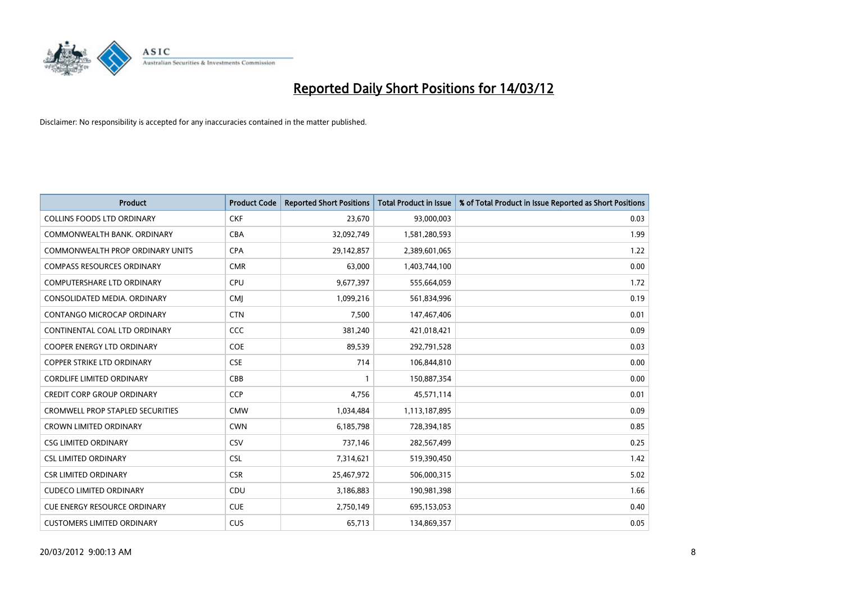

| <b>Product</b>                          | <b>Product Code</b> | <b>Reported Short Positions</b> | <b>Total Product in Issue</b> | % of Total Product in Issue Reported as Short Positions |
|-----------------------------------------|---------------------|---------------------------------|-------------------------------|---------------------------------------------------------|
| <b>COLLINS FOODS LTD ORDINARY</b>       | <b>CKF</b>          | 23,670                          | 93,000,003                    | 0.03                                                    |
| COMMONWEALTH BANK, ORDINARY             | <b>CBA</b>          | 32,092,749                      | 1,581,280,593                 | 1.99                                                    |
| <b>COMMONWEALTH PROP ORDINARY UNITS</b> | <b>CPA</b>          | 29,142,857                      | 2,389,601,065                 | 1.22                                                    |
| <b>COMPASS RESOURCES ORDINARY</b>       | <b>CMR</b>          | 63,000                          | 1,403,744,100                 | 0.00                                                    |
| COMPUTERSHARE LTD ORDINARY              | <b>CPU</b>          | 9,677,397                       | 555,664,059                   | 1.72                                                    |
| CONSOLIDATED MEDIA, ORDINARY            | <b>CMI</b>          | 1,099,216                       | 561,834,996                   | 0.19                                                    |
| CONTANGO MICROCAP ORDINARY              | <b>CTN</b>          | 7,500                           | 147,467,406                   | 0.01                                                    |
| CONTINENTAL COAL LTD ORDINARY           | CCC                 | 381,240                         | 421,018,421                   | 0.09                                                    |
| <b>COOPER ENERGY LTD ORDINARY</b>       | <b>COE</b>          | 89,539                          | 292,791,528                   | 0.03                                                    |
| <b>COPPER STRIKE LTD ORDINARY</b>       | <b>CSE</b>          | 714                             | 106,844,810                   | 0.00                                                    |
| <b>CORDLIFE LIMITED ORDINARY</b>        | CBB                 |                                 | 150,887,354                   | 0.00                                                    |
| <b>CREDIT CORP GROUP ORDINARY</b>       | <b>CCP</b>          | 4,756                           | 45,571,114                    | 0.01                                                    |
| <b>CROMWELL PROP STAPLED SECURITIES</b> | <b>CMW</b>          | 1,034,484                       | 1,113,187,895                 | 0.09                                                    |
| <b>CROWN LIMITED ORDINARY</b>           | <b>CWN</b>          | 6,185,798                       | 728,394,185                   | 0.85                                                    |
| <b>CSG LIMITED ORDINARY</b>             | CSV                 | 737,146                         | 282,567,499                   | 0.25                                                    |
| <b>CSL LIMITED ORDINARY</b>             | <b>CSL</b>          | 7,314,621                       | 519,390,450                   | 1.42                                                    |
| <b>CSR LIMITED ORDINARY</b>             | <b>CSR</b>          | 25,467,972                      | 506,000,315                   | 5.02                                                    |
| <b>CUDECO LIMITED ORDINARY</b>          | <b>CDU</b>          | 3,186,883                       | 190,981,398                   | 1.66                                                    |
| <b>CUE ENERGY RESOURCE ORDINARY</b>     | <b>CUE</b>          | 2,750,149                       | 695,153,053                   | 0.40                                                    |
| <b>CUSTOMERS LIMITED ORDINARY</b>       | <b>CUS</b>          | 65,713                          | 134,869,357                   | 0.05                                                    |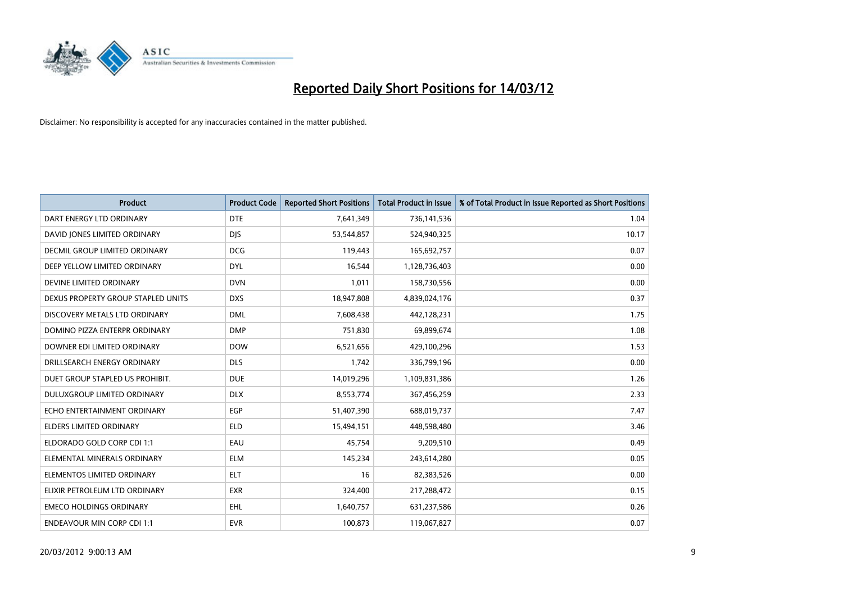

| <b>Product</b>                       | <b>Product Code</b> | <b>Reported Short Positions</b> | <b>Total Product in Issue</b> | % of Total Product in Issue Reported as Short Positions |
|--------------------------------------|---------------------|---------------------------------|-------------------------------|---------------------------------------------------------|
| DART ENERGY LTD ORDINARY             | <b>DTE</b>          | 7,641,349                       | 736,141,536                   | 1.04                                                    |
| DAVID JONES LIMITED ORDINARY         | <b>DJS</b>          | 53,544,857                      | 524,940,325                   | 10.17                                                   |
| <b>DECMIL GROUP LIMITED ORDINARY</b> | <b>DCG</b>          | 119,443                         | 165,692,757                   | 0.07                                                    |
| DEEP YELLOW LIMITED ORDINARY         | <b>DYL</b>          | 16,544                          | 1,128,736,403                 | 0.00                                                    |
| DEVINE LIMITED ORDINARY              | <b>DVN</b>          | 1,011                           | 158,730,556                   | 0.00                                                    |
| DEXUS PROPERTY GROUP STAPLED UNITS   | <b>DXS</b>          | 18,947,808                      | 4,839,024,176                 | 0.37                                                    |
| DISCOVERY METALS LTD ORDINARY        | <b>DML</b>          | 7,608,438                       | 442,128,231                   | 1.75                                                    |
| DOMINO PIZZA ENTERPR ORDINARY        | <b>DMP</b>          | 751,830                         | 69,899,674                    | 1.08                                                    |
| DOWNER EDI LIMITED ORDINARY          | <b>DOW</b>          | 6,521,656                       | 429,100,296                   | 1.53                                                    |
| DRILLSEARCH ENERGY ORDINARY          | <b>DLS</b>          | 1,742                           | 336,799,196                   | 0.00                                                    |
| DUET GROUP STAPLED US PROHIBIT.      | <b>DUE</b>          | 14,019,296                      | 1,109,831,386                 | 1.26                                                    |
| <b>DULUXGROUP LIMITED ORDINARY</b>   | <b>DLX</b>          | 8,553,774                       | 367,456,259                   | 2.33                                                    |
| ECHO ENTERTAINMENT ORDINARY          | <b>EGP</b>          | 51,407,390                      | 688,019,737                   | 7.47                                                    |
| <b>ELDERS LIMITED ORDINARY</b>       | <b>ELD</b>          | 15,494,151                      | 448,598,480                   | 3.46                                                    |
| ELDORADO GOLD CORP CDI 1:1           | EAU                 | 45,754                          | 9,209,510                     | 0.49                                                    |
| ELEMENTAL MINERALS ORDINARY          | <b>ELM</b>          | 145,234                         | 243,614,280                   | 0.05                                                    |
| ELEMENTOS LIMITED ORDINARY           | ELT                 | 16                              | 82,383,526                    | 0.00                                                    |
| ELIXIR PETROLEUM LTD ORDINARY        | <b>EXR</b>          | 324,400                         | 217,288,472                   | 0.15                                                    |
| <b>EMECO HOLDINGS ORDINARY</b>       | <b>EHL</b>          | 1,640,757                       | 631,237,586                   | 0.26                                                    |
| <b>ENDEAVOUR MIN CORP CDI 1:1</b>    | <b>EVR</b>          | 100,873                         | 119,067,827                   | 0.07                                                    |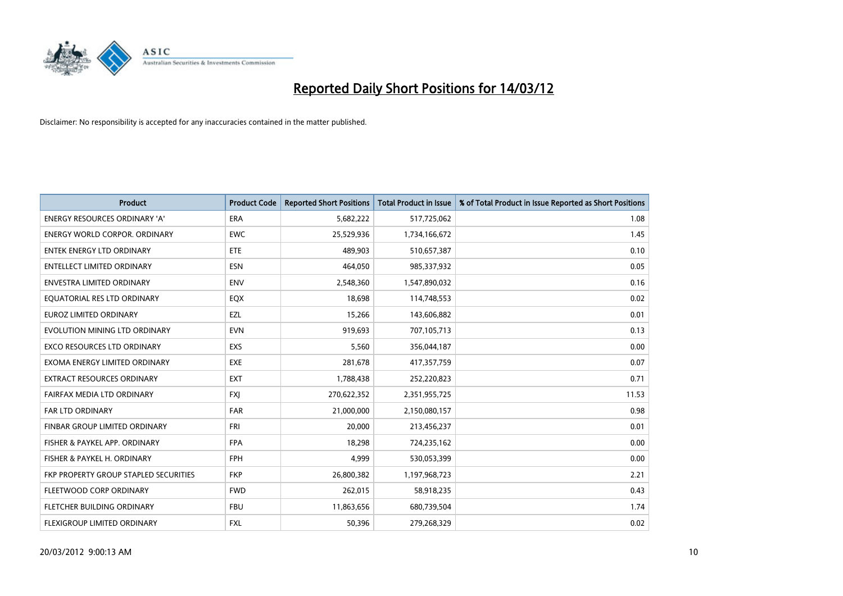

| <b>Product</b>                        | <b>Product Code</b> | <b>Reported Short Positions</b> | <b>Total Product in Issue</b> | % of Total Product in Issue Reported as Short Positions |
|---------------------------------------|---------------------|---------------------------------|-------------------------------|---------------------------------------------------------|
| <b>ENERGY RESOURCES ORDINARY 'A'</b>  | <b>ERA</b>          | 5,682,222                       | 517,725,062                   | 1.08                                                    |
| <b>ENERGY WORLD CORPOR. ORDINARY</b>  | <b>EWC</b>          | 25,529,936                      | 1,734,166,672                 | 1.45                                                    |
| <b>ENTEK ENERGY LTD ORDINARY</b>      | ETE                 | 489,903                         | 510,657,387                   | 0.10                                                    |
| <b>ENTELLECT LIMITED ORDINARY</b>     | <b>ESN</b>          | 464,050                         | 985,337,932                   | 0.05                                                    |
| <b>ENVESTRA LIMITED ORDINARY</b>      | <b>ENV</b>          | 2,548,360                       | 1,547,890,032                 | 0.16                                                    |
| EQUATORIAL RES LTD ORDINARY           | EQX                 | 18,698                          | 114,748,553                   | 0.02                                                    |
| <b>EUROZ LIMITED ORDINARY</b>         | <b>EZL</b>          | 15,266                          | 143,606,882                   | 0.01                                                    |
| EVOLUTION MINING LTD ORDINARY         | <b>EVN</b>          | 919,693                         | 707,105,713                   | 0.13                                                    |
| <b>EXCO RESOURCES LTD ORDINARY</b>    | <b>EXS</b>          | 5,560                           | 356,044,187                   | 0.00                                                    |
| EXOMA ENERGY LIMITED ORDINARY         | <b>EXE</b>          | 281,678                         | 417,357,759                   | 0.07                                                    |
| EXTRACT RESOURCES ORDINARY            | <b>EXT</b>          | 1,788,438                       | 252,220,823                   | 0.71                                                    |
| FAIRFAX MEDIA LTD ORDINARY            | <b>FXI</b>          | 270,622,352                     | 2,351,955,725                 | 11.53                                                   |
| FAR LTD ORDINARY                      | <b>FAR</b>          | 21,000,000                      | 2,150,080,157                 | 0.98                                                    |
| FINBAR GROUP LIMITED ORDINARY         | <b>FRI</b>          | 20,000                          | 213,456,237                   | 0.01                                                    |
| FISHER & PAYKEL APP. ORDINARY         | <b>FPA</b>          | 18,298                          | 724,235,162                   | 0.00                                                    |
| FISHER & PAYKEL H. ORDINARY           | <b>FPH</b>          | 4,999                           | 530,053,399                   | 0.00                                                    |
| FKP PROPERTY GROUP STAPLED SECURITIES | <b>FKP</b>          | 26,800,382                      | 1,197,968,723                 | 2.21                                                    |
| FLEETWOOD CORP ORDINARY               | <b>FWD</b>          | 262,015                         | 58,918,235                    | 0.43                                                    |
| FLETCHER BUILDING ORDINARY            | <b>FBU</b>          | 11,863,656                      | 680,739,504                   | 1.74                                                    |
| <b>FLEXIGROUP LIMITED ORDINARY</b>    | FXL                 | 50,396                          | 279,268,329                   | 0.02                                                    |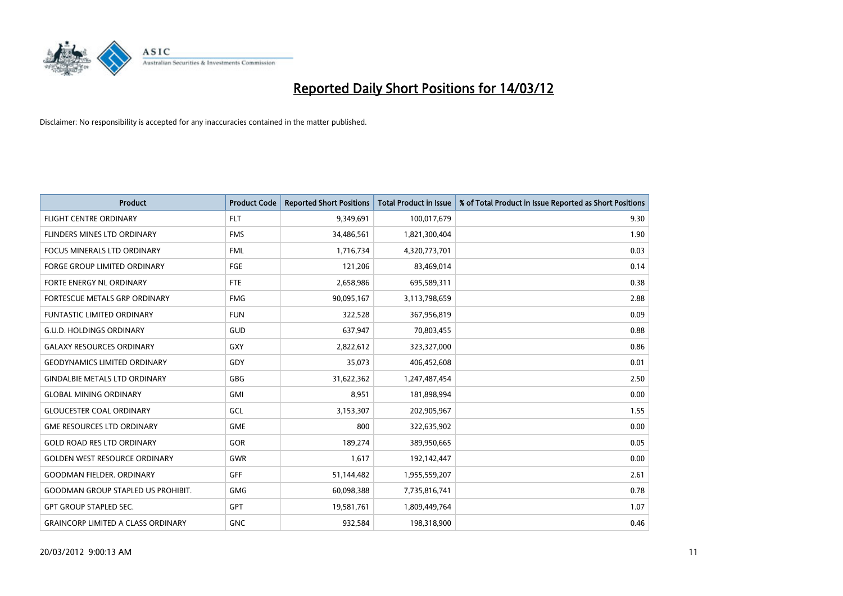

| <b>Product</b>                            | <b>Product Code</b> | <b>Reported Short Positions</b> | <b>Total Product in Issue</b> | % of Total Product in Issue Reported as Short Positions |
|-------------------------------------------|---------------------|---------------------------------|-------------------------------|---------------------------------------------------------|
| <b>FLIGHT CENTRE ORDINARY</b>             | <b>FLT</b>          | 9,349,691                       | 100,017,679                   | 9.30                                                    |
| FLINDERS MINES LTD ORDINARY               | <b>FMS</b>          | 34,486,561                      | 1,821,300,404                 | 1.90                                                    |
| FOCUS MINERALS LTD ORDINARY               | <b>FML</b>          | 1,716,734                       | 4,320,773,701                 | 0.03                                                    |
| <b>FORGE GROUP LIMITED ORDINARY</b>       | FGE                 | 121,206                         | 83,469,014                    | 0.14                                                    |
| FORTE ENERGY NL ORDINARY                  | FTE                 | 2,658,986                       | 695,589,311                   | 0.38                                                    |
| FORTESCUE METALS GRP ORDINARY             | <b>FMG</b>          | 90,095,167                      | 3,113,798,659                 | 2.88                                                    |
| <b>FUNTASTIC LIMITED ORDINARY</b>         | <b>FUN</b>          | 322,528                         | 367,956,819                   | 0.09                                                    |
| <b>G.U.D. HOLDINGS ORDINARY</b>           | GUD                 | 637,947                         | 70,803,455                    | 0.88                                                    |
| <b>GALAXY RESOURCES ORDINARY</b>          | GXY                 | 2,822,612                       | 323,327,000                   | 0.86                                                    |
| <b>GEODYNAMICS LIMITED ORDINARY</b>       | GDY                 | 35,073                          | 406,452,608                   | 0.01                                                    |
| <b>GINDALBIE METALS LTD ORDINARY</b>      | <b>GBG</b>          | 31,622,362                      | 1,247,487,454                 | 2.50                                                    |
| <b>GLOBAL MINING ORDINARY</b>             | GMI                 | 8,951                           | 181,898,994                   | 0.00                                                    |
| <b>GLOUCESTER COAL ORDINARY</b>           | GCL                 | 3,153,307                       | 202,905,967                   | 1.55                                                    |
| <b>GME RESOURCES LTD ORDINARY</b>         | <b>GME</b>          | 800                             | 322,635,902                   | 0.00                                                    |
| <b>GOLD ROAD RES LTD ORDINARY</b>         | GOR                 | 189,274                         | 389,950,665                   | 0.05                                                    |
| <b>GOLDEN WEST RESOURCE ORDINARY</b>      | GWR                 | 1,617                           | 192,142,447                   | 0.00                                                    |
| <b>GOODMAN FIELDER. ORDINARY</b>          | <b>GFF</b>          | 51,144,482                      | 1,955,559,207                 | 2.61                                                    |
| <b>GOODMAN GROUP STAPLED US PROHIBIT.</b> | <b>GMG</b>          | 60,098,388                      | 7,735,816,741                 | 0.78                                                    |
| <b>GPT GROUP STAPLED SEC.</b>             | <b>GPT</b>          | 19,581,761                      | 1,809,449,764                 | 1.07                                                    |
| <b>GRAINCORP LIMITED A CLASS ORDINARY</b> | <b>GNC</b>          | 932,584                         | 198,318,900                   | 0.46                                                    |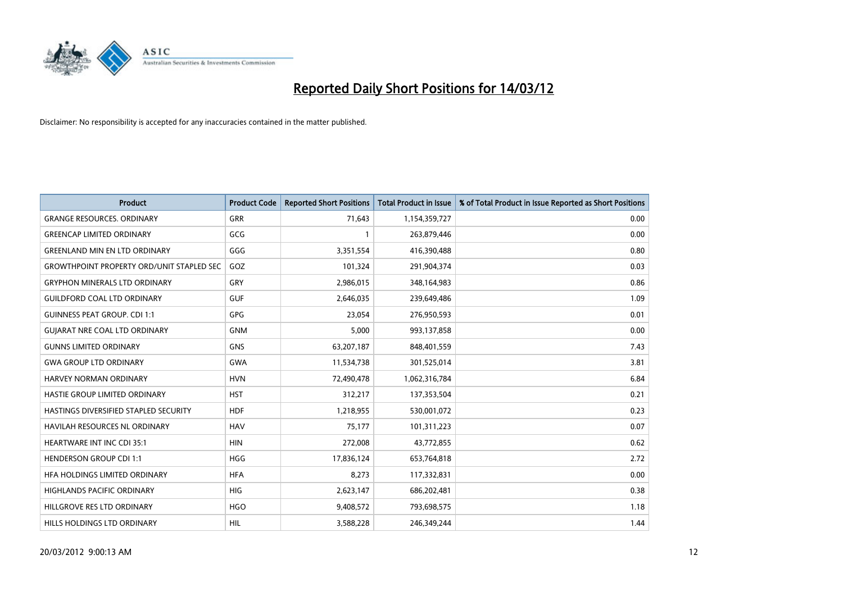

| <b>Product</b>                                   | <b>Product Code</b> | <b>Reported Short Positions</b> | <b>Total Product in Issue</b> | % of Total Product in Issue Reported as Short Positions |
|--------------------------------------------------|---------------------|---------------------------------|-------------------------------|---------------------------------------------------------|
| <b>GRANGE RESOURCES, ORDINARY</b>                | <b>GRR</b>          | 71,643                          | 1,154,359,727                 | 0.00                                                    |
| <b>GREENCAP LIMITED ORDINARY</b>                 | GCG                 |                                 | 263,879,446                   | 0.00                                                    |
| <b>GREENLAND MIN EN LTD ORDINARY</b>             | GGG                 | 3,351,554                       | 416,390,488                   | 0.80                                                    |
| <b>GROWTHPOINT PROPERTY ORD/UNIT STAPLED SEC</b> | GOZ                 | 101,324                         | 291,904,374                   | 0.03                                                    |
| <b>GRYPHON MINERALS LTD ORDINARY</b>             | GRY                 | 2,986,015                       | 348,164,983                   | 0.86                                                    |
| <b>GUILDFORD COAL LTD ORDINARY</b>               | <b>GUF</b>          | 2,646,035                       | 239,649,486                   | 1.09                                                    |
| <b>GUINNESS PEAT GROUP. CDI 1:1</b>              | <b>GPG</b>          | 23,054                          | 276,950,593                   | 0.01                                                    |
| <b>GUIARAT NRE COAL LTD ORDINARY</b>             | <b>GNM</b>          | 5,000                           | 993,137,858                   | 0.00                                                    |
| <b>GUNNS LIMITED ORDINARY</b>                    | <b>GNS</b>          | 63,207,187                      | 848,401,559                   | 7.43                                                    |
| <b>GWA GROUP LTD ORDINARY</b>                    | <b>GWA</b>          | 11,534,738                      | 301,525,014                   | 3.81                                                    |
| <b>HARVEY NORMAN ORDINARY</b>                    | <b>HVN</b>          | 72,490,478                      | 1,062,316,784                 | 6.84                                                    |
| HASTIE GROUP LIMITED ORDINARY                    | <b>HST</b>          | 312,217                         | 137,353,504                   | 0.21                                                    |
| HASTINGS DIVERSIFIED STAPLED SECURITY            | <b>HDF</b>          | 1,218,955                       | 530,001,072                   | 0.23                                                    |
| <b>HAVILAH RESOURCES NL ORDINARY</b>             | <b>HAV</b>          | 75,177                          | 101,311,223                   | 0.07                                                    |
| <b>HEARTWARE INT INC CDI 35:1</b>                | <b>HIN</b>          | 272,008                         | 43,772,855                    | 0.62                                                    |
| <b>HENDERSON GROUP CDI 1:1</b>                   | <b>HGG</b>          | 17,836,124                      | 653,764,818                   | 2.72                                                    |
| HFA HOLDINGS LIMITED ORDINARY                    | <b>HFA</b>          | 8,273                           | 117,332,831                   | 0.00                                                    |
| HIGHLANDS PACIFIC ORDINARY                       | <b>HIG</b>          | 2,623,147                       | 686,202,481                   | 0.38                                                    |
| HILLGROVE RES LTD ORDINARY                       | <b>HGO</b>          | 9,408,572                       | 793,698,575                   | 1.18                                                    |
| HILLS HOLDINGS LTD ORDINARY                      | <b>HIL</b>          | 3,588,228                       | 246,349,244                   | 1.44                                                    |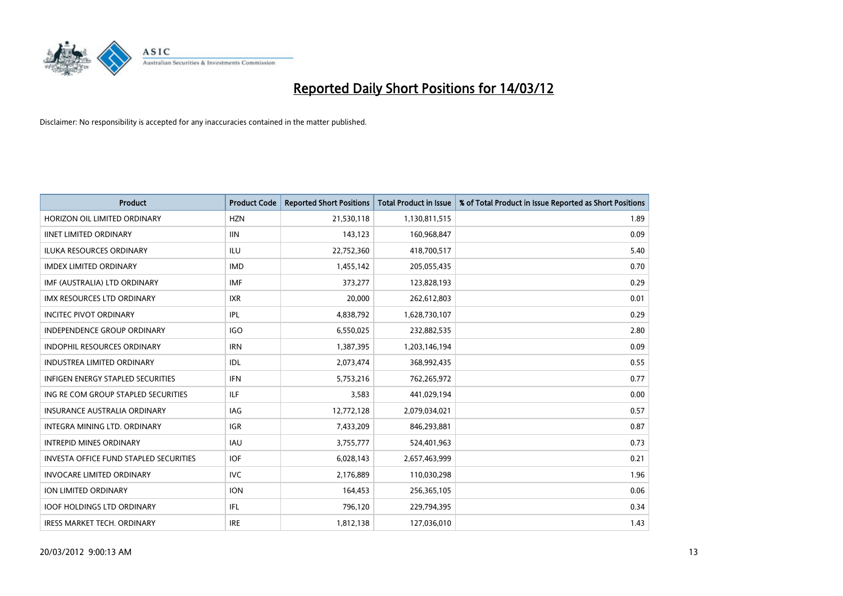

| <b>Product</b>                                | <b>Product Code</b> | <b>Reported Short Positions</b> | <b>Total Product in Issue</b> | % of Total Product in Issue Reported as Short Positions |
|-----------------------------------------------|---------------------|---------------------------------|-------------------------------|---------------------------------------------------------|
| HORIZON OIL LIMITED ORDINARY                  | <b>HZN</b>          | 21,530,118                      | 1,130,811,515                 | 1.89                                                    |
| <b>IINET LIMITED ORDINARY</b>                 | <b>IIN</b>          | 143,123                         | 160,968,847                   | 0.09                                                    |
| <b>ILUKA RESOURCES ORDINARY</b>               | ILU                 | 22,752,360                      | 418,700,517                   | 5.40                                                    |
| <b>IMDEX LIMITED ORDINARY</b>                 | <b>IMD</b>          | 1,455,142                       | 205,055,435                   | 0.70                                                    |
| IMF (AUSTRALIA) LTD ORDINARY                  | <b>IMF</b>          | 373,277                         | 123,828,193                   | 0.29                                                    |
| <b>IMX RESOURCES LTD ORDINARY</b>             | <b>IXR</b>          | 20,000                          | 262,612,803                   | 0.01                                                    |
| <b>INCITEC PIVOT ORDINARY</b>                 | IPL                 | 4,838,792                       | 1,628,730,107                 | 0.29                                                    |
| <b>INDEPENDENCE GROUP ORDINARY</b>            | <b>IGO</b>          | 6,550,025                       | 232,882,535                   | 2.80                                                    |
| INDOPHIL RESOURCES ORDINARY                   | <b>IRN</b>          | 1,387,395                       | 1,203,146,194                 | 0.09                                                    |
| <b>INDUSTREA LIMITED ORDINARY</b>             | IDL.                | 2,073,474                       | 368,992,435                   | 0.55                                                    |
| <b>INFIGEN ENERGY STAPLED SECURITIES</b>      | <b>IFN</b>          | 5,753,216                       | 762,265,972                   | 0.77                                                    |
| ING RE COM GROUP STAPLED SECURITIES           | ILF.                | 3,583                           | 441,029,194                   | 0.00                                                    |
| <b>INSURANCE AUSTRALIA ORDINARY</b>           | <b>IAG</b>          | 12,772,128                      | 2,079,034,021                 | 0.57                                                    |
| INTEGRA MINING LTD, ORDINARY                  | <b>IGR</b>          | 7,433,209                       | 846,293,881                   | 0.87                                                    |
| <b>INTREPID MINES ORDINARY</b>                | <b>IAU</b>          | 3,755,777                       | 524,401,963                   | 0.73                                                    |
| <b>INVESTA OFFICE FUND STAPLED SECURITIES</b> | <b>IOF</b>          | 6,028,143                       | 2,657,463,999                 | 0.21                                                    |
| <b>INVOCARE LIMITED ORDINARY</b>              | <b>IVC</b>          | 2,176,889                       | 110,030,298                   | 1.96                                                    |
| ION LIMITED ORDINARY                          | <b>ION</b>          | 164,453                         | 256,365,105                   | 0.06                                                    |
| <b>IOOF HOLDINGS LTD ORDINARY</b>             | IFL                 | 796,120                         | 229,794,395                   | 0.34                                                    |
| IRESS MARKET TECH. ORDINARY                   | <b>IRE</b>          | 1,812,138                       | 127,036,010                   | 1.43                                                    |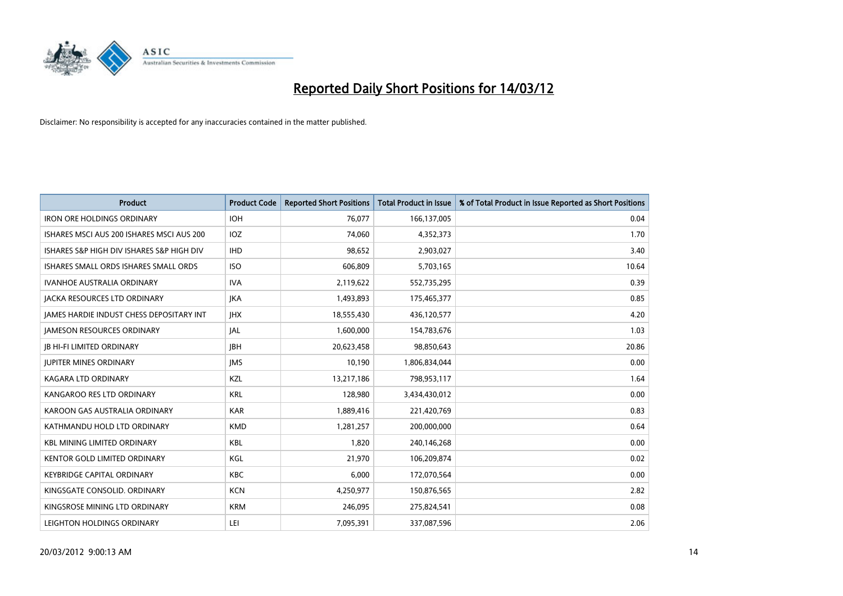

| <b>Product</b>                            | <b>Product Code</b> | <b>Reported Short Positions</b> | <b>Total Product in Issue</b> | % of Total Product in Issue Reported as Short Positions |
|-------------------------------------------|---------------------|---------------------------------|-------------------------------|---------------------------------------------------------|
| <b>IRON ORE HOLDINGS ORDINARY</b>         | <b>IOH</b>          | 76,077                          | 166,137,005                   | 0.04                                                    |
| ISHARES MSCI AUS 200 ISHARES MSCI AUS 200 | IOZ.                | 74,060                          | 4,352,373                     | 1.70                                                    |
| ISHARES S&P HIGH DIV ISHARES S&P HIGH DIV | <b>IHD</b>          | 98,652                          | 2,903,027                     | 3.40                                                    |
| ISHARES SMALL ORDS ISHARES SMALL ORDS     | <b>ISO</b>          | 606.809                         | 5,703,165                     | 10.64                                                   |
| <b>IVANHOE AUSTRALIA ORDINARY</b>         | <b>IVA</b>          | 2,119,622                       | 552,735,295                   | 0.39                                                    |
| <b>JACKA RESOURCES LTD ORDINARY</b>       | <b>IKA</b>          | 1,493,893                       | 175,465,377                   | 0.85                                                    |
| JAMES HARDIE INDUST CHESS DEPOSITARY INT  | <b>JHX</b>          | 18,555,430                      | 436,120,577                   | 4.20                                                    |
| <b>JAMESON RESOURCES ORDINARY</b>         | JAL                 | 1,600,000                       | 154,783,676                   | 1.03                                                    |
| <b>JB HI-FI LIMITED ORDINARY</b>          | <b>IBH</b>          | 20,623,458                      | 98,850,643                    | 20.86                                                   |
| <b>JUPITER MINES ORDINARY</b>             | <b>IMS</b>          | 10,190                          | 1,806,834,044                 | 0.00                                                    |
| KAGARA LTD ORDINARY                       | KZL                 | 13,217,186                      | 798,953,117                   | 1.64                                                    |
| KANGAROO RES LTD ORDINARY                 | <b>KRL</b>          | 128,980                         | 3,434,430,012                 | 0.00                                                    |
| KAROON GAS AUSTRALIA ORDINARY             | <b>KAR</b>          | 1,889,416                       | 221,420,769                   | 0.83                                                    |
| KATHMANDU HOLD LTD ORDINARY               | <b>KMD</b>          | 1,281,257                       | 200,000,000                   | 0.64                                                    |
| <b>KBL MINING LIMITED ORDINARY</b>        | <b>KBL</b>          | 1,820                           | 240,146,268                   | 0.00                                                    |
| <b>KENTOR GOLD LIMITED ORDINARY</b>       | KGL                 | 21,970                          | 106,209,874                   | 0.02                                                    |
| <b>KEYBRIDGE CAPITAL ORDINARY</b>         | KBC                 | 6,000                           | 172,070,564                   | 0.00                                                    |
| KINGSGATE CONSOLID, ORDINARY              | <b>KCN</b>          | 4,250,977                       | 150,876,565                   | 2.82                                                    |
| KINGSROSE MINING LTD ORDINARY             | <b>KRM</b>          | 246,095                         | 275,824,541                   | 0.08                                                    |
| LEIGHTON HOLDINGS ORDINARY                | LEI                 | 7,095,391                       | 337,087,596                   | 2.06                                                    |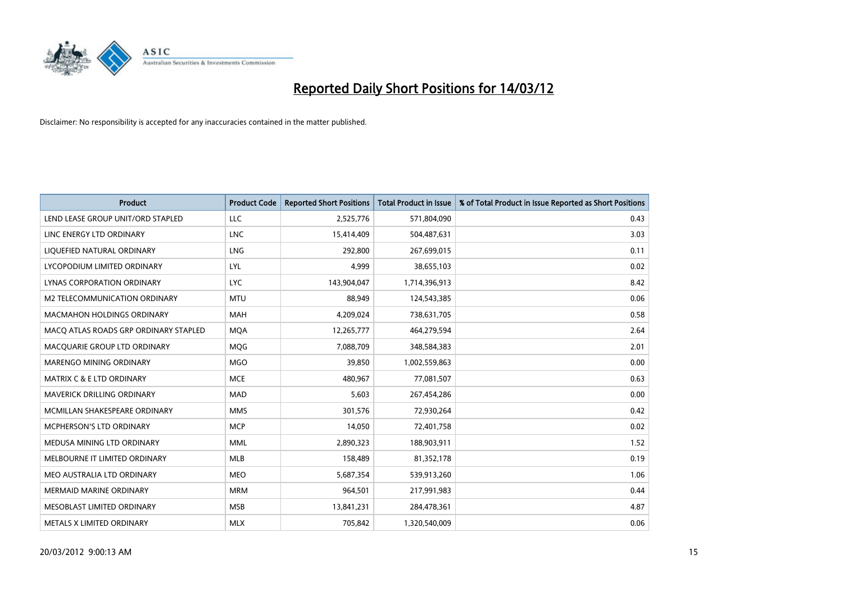

| <b>Product</b>                        | <b>Product Code</b> | <b>Reported Short Positions</b> | <b>Total Product in Issue</b> | % of Total Product in Issue Reported as Short Positions |
|---------------------------------------|---------------------|---------------------------------|-------------------------------|---------------------------------------------------------|
| LEND LEASE GROUP UNIT/ORD STAPLED     | <b>LLC</b>          | 2,525,776                       | 571,804,090                   | 0.43                                                    |
| LINC ENERGY LTD ORDINARY              | <b>LNC</b>          | 15,414,409                      | 504,487,631                   | 3.03                                                    |
| LIQUEFIED NATURAL ORDINARY            | <b>LNG</b>          | 292,800                         | 267,699,015                   | 0.11                                                    |
| LYCOPODIUM LIMITED ORDINARY           | LYL                 | 4,999                           | 38,655,103                    | 0.02                                                    |
| <b>LYNAS CORPORATION ORDINARY</b>     | <b>LYC</b>          | 143,904,047                     | 1,714,396,913                 | 8.42                                                    |
| M2 TELECOMMUNICATION ORDINARY         | <b>MTU</b>          | 88,949                          | 124,543,385                   | 0.06                                                    |
| <b>MACMAHON HOLDINGS ORDINARY</b>     | <b>MAH</b>          | 4,209,024                       | 738,631,705                   | 0.58                                                    |
| MACO ATLAS ROADS GRP ORDINARY STAPLED | <b>MQA</b>          | 12,265,777                      | 464,279,594                   | 2.64                                                    |
| MACQUARIE GROUP LTD ORDINARY          | <b>MOG</b>          | 7,088,709                       | 348,584,383                   | 2.01                                                    |
| MARENGO MINING ORDINARY               | <b>MGO</b>          | 39,850                          | 1,002,559,863                 | 0.00                                                    |
| MATRIX C & E LTD ORDINARY             | <b>MCE</b>          | 480,967                         | 77,081,507                    | 0.63                                                    |
| <b>MAVERICK DRILLING ORDINARY</b>     | <b>MAD</b>          | 5,603                           | 267,454,286                   | 0.00                                                    |
| MCMILLAN SHAKESPEARE ORDINARY         | <b>MMS</b>          | 301,576                         | 72,930,264                    | 0.42                                                    |
| <b>MCPHERSON'S LTD ORDINARY</b>       | <b>MCP</b>          | 14,050                          | 72,401,758                    | 0.02                                                    |
| MEDUSA MINING LTD ORDINARY            | <b>MML</b>          | 2,890,323                       | 188,903,911                   | 1.52                                                    |
| MELBOURNE IT LIMITED ORDINARY         | MLB                 | 158,489                         | 81,352,178                    | 0.19                                                    |
| MEO AUSTRALIA LTD ORDINARY            | MEO                 | 5,687,354                       | 539,913,260                   | 1.06                                                    |
| <b>MERMAID MARINE ORDINARY</b>        | <b>MRM</b>          | 964,501                         | 217,991,983                   | 0.44                                                    |
| MESOBLAST LIMITED ORDINARY            | <b>MSB</b>          | 13,841,231                      | 284,478,361                   | 4.87                                                    |
| METALS X LIMITED ORDINARY             | <b>MLX</b>          | 705,842                         | 1,320,540,009                 | 0.06                                                    |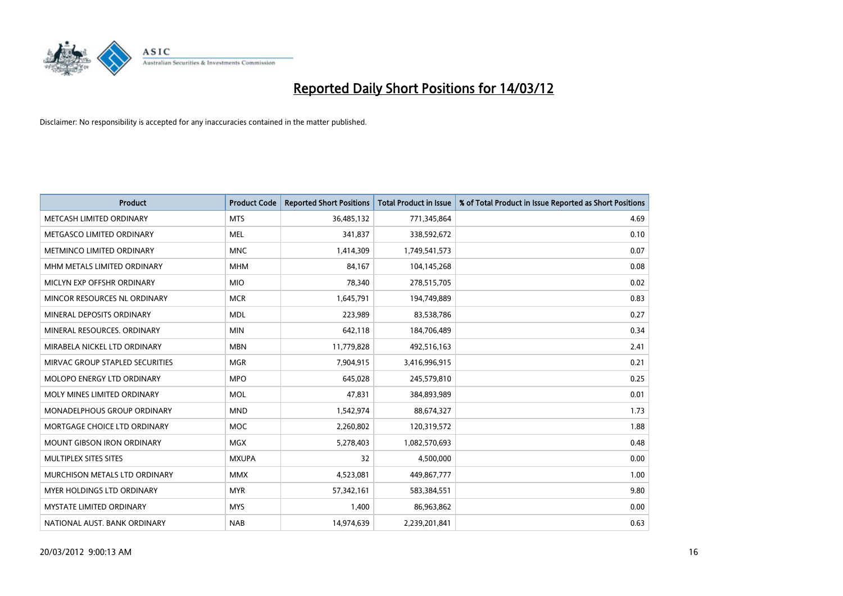

| <b>Product</b>                    | <b>Product Code</b> | <b>Reported Short Positions</b> | <b>Total Product in Issue</b> | % of Total Product in Issue Reported as Short Positions |
|-----------------------------------|---------------------|---------------------------------|-------------------------------|---------------------------------------------------------|
| METCASH LIMITED ORDINARY          | <b>MTS</b>          | 36,485,132                      | 771,345,864                   | 4.69                                                    |
| METGASCO LIMITED ORDINARY         | MEL                 | 341,837                         | 338,592,672                   | 0.10                                                    |
| METMINCO LIMITED ORDINARY         | <b>MNC</b>          | 1,414,309                       | 1,749,541,573                 | 0.07                                                    |
| MHM METALS LIMITED ORDINARY       | <b>MHM</b>          | 84,167                          | 104,145,268                   | 0.08                                                    |
| MICLYN EXP OFFSHR ORDINARY        | <b>MIO</b>          | 78,340                          | 278,515,705                   | 0.02                                                    |
| MINCOR RESOURCES NL ORDINARY      | <b>MCR</b>          | 1,645,791                       | 194,749,889                   | 0.83                                                    |
| MINERAL DEPOSITS ORDINARY         | <b>MDL</b>          | 223,989                         | 83,538,786                    | 0.27                                                    |
| MINERAL RESOURCES. ORDINARY       | <b>MIN</b>          | 642,118                         | 184,706,489                   | 0.34                                                    |
| MIRABELA NICKEL LTD ORDINARY      | <b>MBN</b>          | 11,779,828                      | 492,516,163                   | 2.41                                                    |
| MIRVAC GROUP STAPLED SECURITIES   | <b>MGR</b>          | 7,904,915                       | 3,416,996,915                 | 0.21                                                    |
| MOLOPO ENERGY LTD ORDINARY        | <b>MPO</b>          | 645,028                         | 245,579,810                   | 0.25                                                    |
| MOLY MINES LIMITED ORDINARY       | MOL                 | 47,831                          | 384,893,989                   | 0.01                                                    |
| MONADELPHOUS GROUP ORDINARY       | <b>MND</b>          | 1,542,974                       | 88,674,327                    | 1.73                                                    |
| MORTGAGE CHOICE LTD ORDINARY      | MOC                 | 2,260,802                       | 120,319,572                   | 1.88                                                    |
| <b>MOUNT GIBSON IRON ORDINARY</b> | <b>MGX</b>          | 5,278,403                       | 1,082,570,693                 | 0.48                                                    |
| MULTIPLEX SITES SITES             | <b>MXUPA</b>        | 32                              | 4,500,000                     | 0.00                                                    |
| MURCHISON METALS LTD ORDINARY     | <b>MMX</b>          | 4,523,081                       | 449,867,777                   | 1.00                                                    |
| MYER HOLDINGS LTD ORDINARY        | <b>MYR</b>          | 57,342,161                      | 583,384,551                   | 9.80                                                    |
| <b>MYSTATE LIMITED ORDINARY</b>   | <b>MYS</b>          | 1,400                           | 86,963,862                    | 0.00                                                    |
| NATIONAL AUST. BANK ORDINARY      | <b>NAB</b>          | 14,974,639                      | 2,239,201,841                 | 0.63                                                    |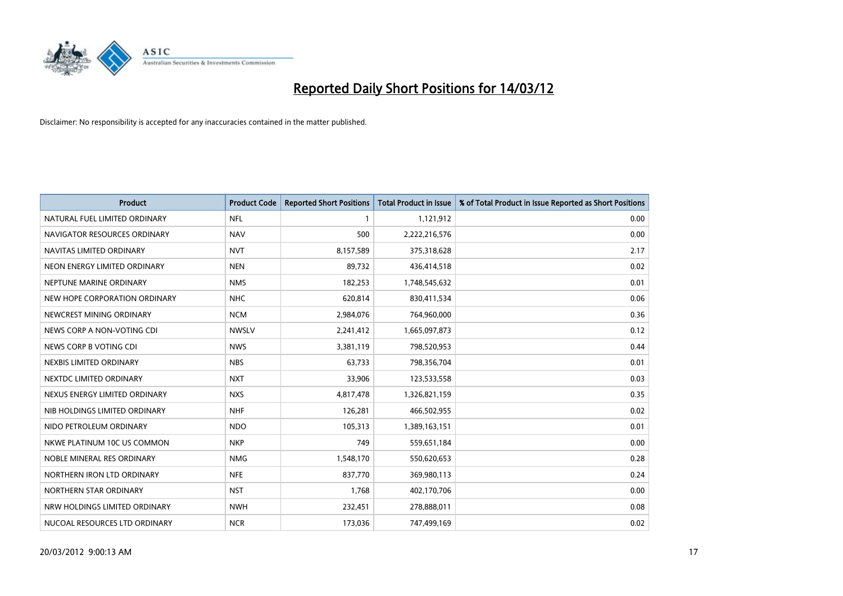

| <b>Product</b>                | <b>Product Code</b> | <b>Reported Short Positions</b> | <b>Total Product in Issue</b> | % of Total Product in Issue Reported as Short Positions |
|-------------------------------|---------------------|---------------------------------|-------------------------------|---------------------------------------------------------|
| NATURAL FUEL LIMITED ORDINARY | <b>NFL</b>          |                                 | 1,121,912                     | 0.00                                                    |
| NAVIGATOR RESOURCES ORDINARY  | <b>NAV</b>          | 500                             | 2,222,216,576                 | 0.00                                                    |
| NAVITAS LIMITED ORDINARY      | <b>NVT</b>          | 8,157,589                       | 375,318,628                   | 2.17                                                    |
| NEON ENERGY LIMITED ORDINARY  | <b>NEN</b>          | 89,732                          | 436,414,518                   | 0.02                                                    |
| NEPTUNE MARINE ORDINARY       | <b>NMS</b>          | 182,253                         | 1,748,545,632                 | 0.01                                                    |
| NEW HOPE CORPORATION ORDINARY | <b>NHC</b>          | 620,814                         | 830,411,534                   | 0.06                                                    |
| NEWCREST MINING ORDINARY      | <b>NCM</b>          | 2,984,076                       | 764,960,000                   | 0.36                                                    |
| NEWS CORP A NON-VOTING CDI    | <b>NWSLV</b>        | 2,241,412                       | 1,665,097,873                 | 0.12                                                    |
| NEWS CORP B VOTING CDI        | <b>NWS</b>          | 3,381,119                       | 798,520,953                   | 0.44                                                    |
| NEXBIS LIMITED ORDINARY       | <b>NBS</b>          | 63,733                          | 798,356,704                   | 0.01                                                    |
| NEXTDC LIMITED ORDINARY       | <b>NXT</b>          | 33,906                          | 123,533,558                   | 0.03                                                    |
| NEXUS ENERGY LIMITED ORDINARY | <b>NXS</b>          | 4,817,478                       | 1,326,821,159                 | 0.35                                                    |
| NIB HOLDINGS LIMITED ORDINARY | <b>NHF</b>          | 126,281                         | 466,502,955                   | 0.02                                                    |
| NIDO PETROLEUM ORDINARY       | <b>NDO</b>          | 105,313                         | 1,389,163,151                 | 0.01                                                    |
| NKWE PLATINUM 10C US COMMON   | <b>NKP</b>          | 749                             | 559,651,184                   | 0.00                                                    |
| NOBLE MINERAL RES ORDINARY    | <b>NMG</b>          | 1,548,170                       | 550,620,653                   | 0.28                                                    |
| NORTHERN IRON LTD ORDINARY    | <b>NFE</b>          | 837,770                         | 369,980,113                   | 0.24                                                    |
| NORTHERN STAR ORDINARY        | <b>NST</b>          | 1,768                           | 402,170,706                   | 0.00                                                    |
| NRW HOLDINGS LIMITED ORDINARY | <b>NWH</b>          | 232,451                         | 278,888,011                   | 0.08                                                    |
| NUCOAL RESOURCES LTD ORDINARY | <b>NCR</b>          | 173,036                         | 747,499,169                   | 0.02                                                    |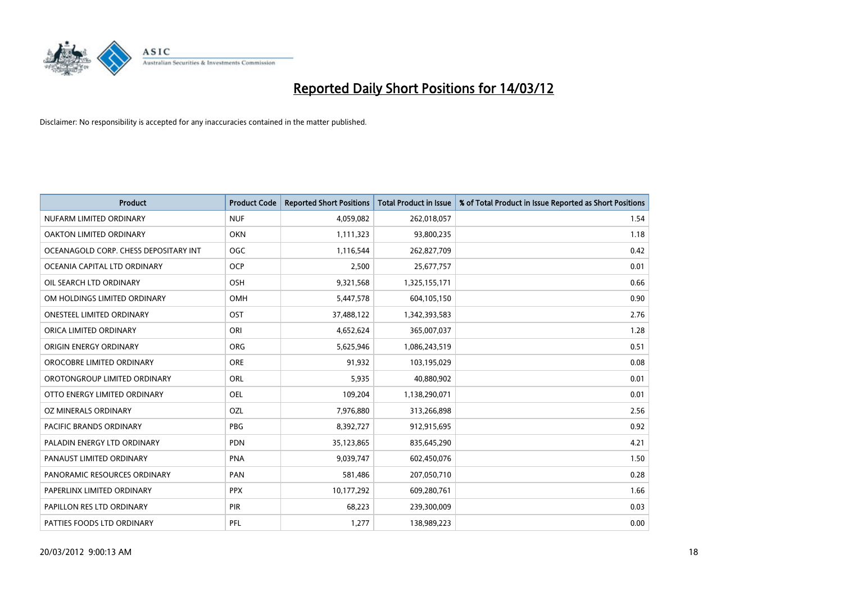

| <b>Product</b>                        | <b>Product Code</b> | <b>Reported Short Positions</b> | <b>Total Product in Issue</b> | % of Total Product in Issue Reported as Short Positions |
|---------------------------------------|---------------------|---------------------------------|-------------------------------|---------------------------------------------------------|
| NUFARM LIMITED ORDINARY               | <b>NUF</b>          | 4,059,082                       | 262,018,057                   | 1.54                                                    |
| OAKTON LIMITED ORDINARY               | <b>OKN</b>          | 1,111,323                       | 93,800,235                    | 1.18                                                    |
| OCEANAGOLD CORP. CHESS DEPOSITARY INT | <b>OGC</b>          | 1,116,544                       | 262,827,709                   | 0.42                                                    |
| OCEANIA CAPITAL LTD ORDINARY          | <b>OCP</b>          | 2,500                           | 25,677,757                    | 0.01                                                    |
| OIL SEARCH LTD ORDINARY               | OSH                 | 9,321,568                       | 1,325,155,171                 | 0.66                                                    |
| OM HOLDINGS LIMITED ORDINARY          | OMH                 | 5,447,578                       | 604,105,150                   | 0.90                                                    |
| <b>ONESTEEL LIMITED ORDINARY</b>      | OST                 | 37,488,122                      | 1,342,393,583                 | 2.76                                                    |
| ORICA LIMITED ORDINARY                | ORI                 | 4,652,624                       | 365,007,037                   | 1.28                                                    |
| ORIGIN ENERGY ORDINARY                | <b>ORG</b>          | 5,625,946                       | 1,086,243,519                 | 0.51                                                    |
| OROCOBRE LIMITED ORDINARY             | <b>ORE</b>          | 91,932                          | 103,195,029                   | 0.08                                                    |
| OROTONGROUP LIMITED ORDINARY          | <b>ORL</b>          | 5,935                           | 40,880,902                    | 0.01                                                    |
| OTTO ENERGY LIMITED ORDINARY          | <b>OEL</b>          | 109,204                         | 1,138,290,071                 | 0.01                                                    |
| OZ MINERALS ORDINARY                  | OZL                 | 7,976,880                       | 313,266,898                   | 2.56                                                    |
| <b>PACIFIC BRANDS ORDINARY</b>        | PBG                 | 8,392,727                       | 912,915,695                   | 0.92                                                    |
| PALADIN ENERGY LTD ORDINARY           | <b>PDN</b>          | 35,123,865                      | 835,645,290                   | 4.21                                                    |
| PANAUST LIMITED ORDINARY              | <b>PNA</b>          | 9,039,747                       | 602,450,076                   | 1.50                                                    |
| PANORAMIC RESOURCES ORDINARY          | PAN                 | 581,486                         | 207,050,710                   | 0.28                                                    |
| PAPERLINX LIMITED ORDINARY            | <b>PPX</b>          | 10,177,292                      | 609,280,761                   | 1.66                                                    |
| PAPILLON RES LTD ORDINARY             | <b>PIR</b>          | 68,223                          | 239,300,009                   | 0.03                                                    |
| PATTIES FOODS LTD ORDINARY            | PFL                 | 1,277                           | 138,989,223                   | 0.00                                                    |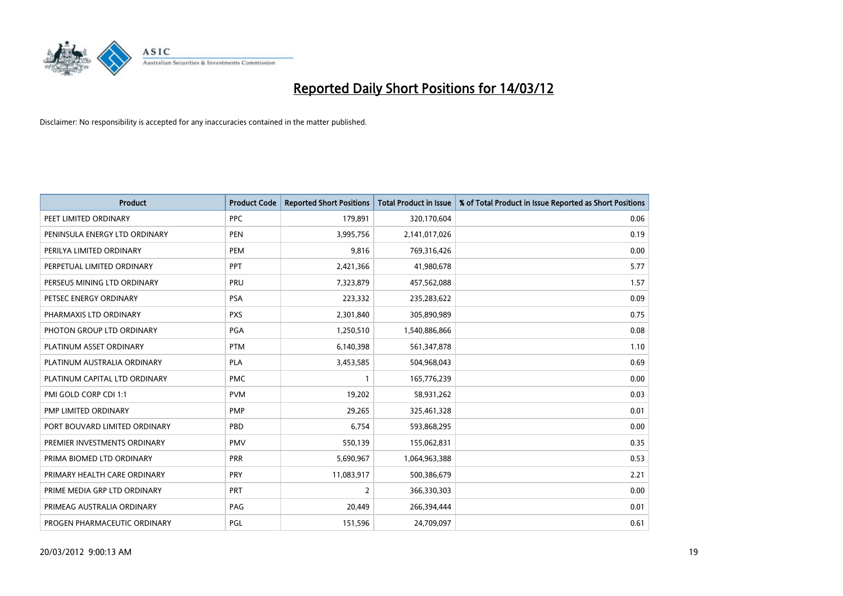

| <b>Product</b>                | <b>Product Code</b> | <b>Reported Short Positions</b> | <b>Total Product in Issue</b> | % of Total Product in Issue Reported as Short Positions |
|-------------------------------|---------------------|---------------------------------|-------------------------------|---------------------------------------------------------|
| PEET LIMITED ORDINARY         | <b>PPC</b>          | 179,891                         | 320,170,604                   | 0.06                                                    |
| PENINSULA ENERGY LTD ORDINARY | <b>PEN</b>          | 3,995,756                       | 2,141,017,026                 | 0.19                                                    |
| PERILYA LIMITED ORDINARY      | PEM                 | 9,816                           | 769,316,426                   | 0.00                                                    |
| PERPETUAL LIMITED ORDINARY    | <b>PPT</b>          | 2,421,366                       | 41,980,678                    | 5.77                                                    |
| PERSEUS MINING LTD ORDINARY   | PRU                 | 7,323,879                       | 457,562,088                   | 1.57                                                    |
| PETSEC ENERGY ORDINARY        | <b>PSA</b>          | 223,332                         | 235,283,622                   | 0.09                                                    |
| PHARMAXIS LTD ORDINARY        | <b>PXS</b>          | 2,301,840                       | 305,890,989                   | 0.75                                                    |
| PHOTON GROUP LTD ORDINARY     | PGA                 | 1,250,510                       | 1,540,886,866                 | 0.08                                                    |
| PLATINUM ASSET ORDINARY       | <b>PTM</b>          | 6,140,398                       | 561,347,878                   | 1.10                                                    |
| PLATINUM AUSTRALIA ORDINARY   | <b>PLA</b>          | 3,453,585                       | 504,968,043                   | 0.69                                                    |
| PLATINUM CAPITAL LTD ORDINARY | <b>PMC</b>          | 1                               | 165,776,239                   | 0.00                                                    |
| PMI GOLD CORP CDI 1:1         | <b>PVM</b>          | 19,202                          | 58,931,262                    | 0.03                                                    |
| PMP LIMITED ORDINARY          | <b>PMP</b>          | 29,265                          | 325,461,328                   | 0.01                                                    |
| PORT BOUVARD LIMITED ORDINARY | PBD                 | 6,754                           | 593,868,295                   | 0.00                                                    |
| PREMIER INVESTMENTS ORDINARY  | <b>PMV</b>          | 550,139                         | 155,062,831                   | 0.35                                                    |
| PRIMA BIOMED LTD ORDINARY     | <b>PRR</b>          | 5,690,967                       | 1,064,963,388                 | 0.53                                                    |
| PRIMARY HEALTH CARE ORDINARY  | <b>PRY</b>          | 11,083,917                      | 500,386,679                   | 2.21                                                    |
| PRIME MEDIA GRP LTD ORDINARY  | <b>PRT</b>          | $\overline{2}$                  | 366,330,303                   | 0.00                                                    |
| PRIMEAG AUSTRALIA ORDINARY    | PAG                 | 20,449                          | 266,394,444                   | 0.01                                                    |
| PROGEN PHARMACEUTIC ORDINARY  | PGL                 | 151,596                         | 24,709,097                    | 0.61                                                    |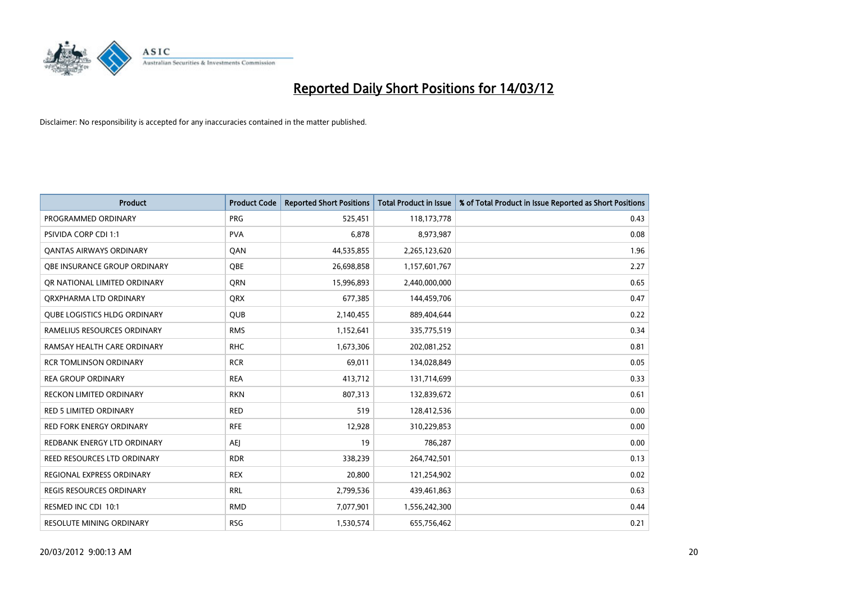

| <b>Product</b>                      | <b>Product Code</b> | <b>Reported Short Positions</b> | <b>Total Product in Issue</b> | % of Total Product in Issue Reported as Short Positions |
|-------------------------------------|---------------------|---------------------------------|-------------------------------|---------------------------------------------------------|
| PROGRAMMED ORDINARY                 | <b>PRG</b>          | 525,451                         | 118,173,778                   | 0.43                                                    |
| <b>PSIVIDA CORP CDI 1:1</b>         | <b>PVA</b>          | 6,878                           | 8,973,987                     | 0.08                                                    |
| <b>QANTAS AIRWAYS ORDINARY</b>      | QAN                 | 44,535,855                      | 2,265,123,620                 | 1.96                                                    |
| OBE INSURANCE GROUP ORDINARY        | <b>OBE</b>          | 26,698,858                      | 1,157,601,767                 | 2.27                                                    |
| OR NATIONAL LIMITED ORDINARY        | <b>ORN</b>          | 15,996,893                      | 2,440,000,000                 | 0.65                                                    |
| ORXPHARMA LTD ORDINARY              | <b>ORX</b>          | 677,385                         | 144,459,706                   | 0.47                                                    |
| <b>QUBE LOGISTICS HLDG ORDINARY</b> | <b>QUB</b>          | 2,140,455                       | 889,404,644                   | 0.22                                                    |
| RAMELIUS RESOURCES ORDINARY         | <b>RMS</b>          | 1,152,641                       | 335,775,519                   | 0.34                                                    |
| RAMSAY HEALTH CARE ORDINARY         | <b>RHC</b>          | 1,673,306                       | 202,081,252                   | 0.81                                                    |
| <b>RCR TOMLINSON ORDINARY</b>       | <b>RCR</b>          | 69,011                          | 134,028,849                   | 0.05                                                    |
| <b>REA GROUP ORDINARY</b>           | <b>REA</b>          | 413,712                         | 131,714,699                   | 0.33                                                    |
| <b>RECKON LIMITED ORDINARY</b>      | <b>RKN</b>          | 807,313                         | 132,839,672                   | 0.61                                                    |
| <b>RED 5 LIMITED ORDINARY</b>       | <b>RED</b>          | 519                             | 128,412,536                   | 0.00                                                    |
| <b>RED FORK ENERGY ORDINARY</b>     | <b>RFE</b>          | 12,928                          | 310,229,853                   | 0.00                                                    |
| REDBANK ENERGY LTD ORDINARY         | <b>AEJ</b>          | 19                              | 786,287                       | 0.00                                                    |
| REED RESOURCES LTD ORDINARY         | <b>RDR</b>          | 338,239                         | 264,742,501                   | 0.13                                                    |
| REGIONAL EXPRESS ORDINARY           | <b>REX</b>          | 20,800                          | 121,254,902                   | 0.02                                                    |
| <b>REGIS RESOURCES ORDINARY</b>     | <b>RRL</b>          | 2,799,536                       | 439,461,863                   | 0.63                                                    |
| RESMED INC CDI 10:1                 | <b>RMD</b>          | 7,077,901                       | 1,556,242,300                 | 0.44                                                    |
| RESOLUTE MINING ORDINARY            | <b>RSG</b>          | 1,530,574                       | 655,756,462                   | 0.21                                                    |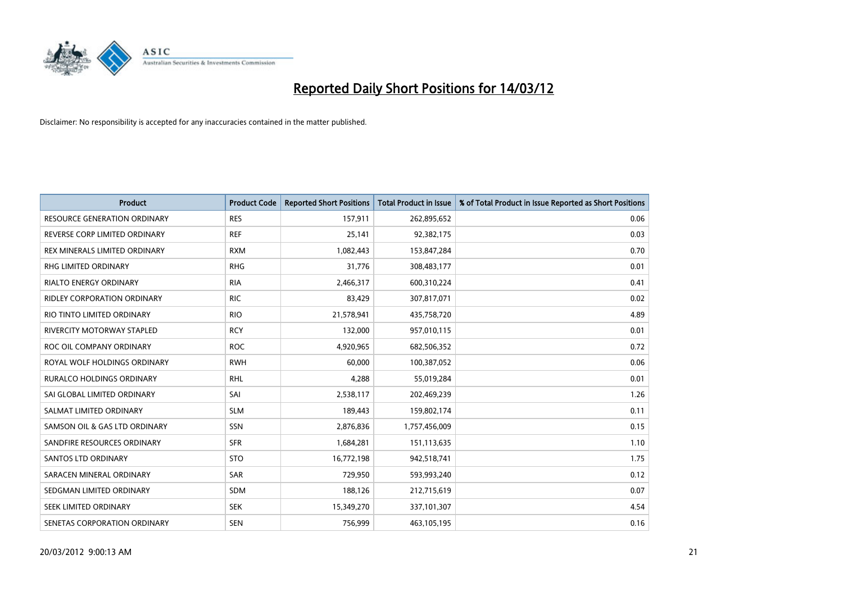

| <b>Product</b>                      | <b>Product Code</b> | <b>Reported Short Positions</b> | <b>Total Product in Issue</b> | % of Total Product in Issue Reported as Short Positions |
|-------------------------------------|---------------------|---------------------------------|-------------------------------|---------------------------------------------------------|
| <b>RESOURCE GENERATION ORDINARY</b> | <b>RES</b>          | 157,911                         | 262,895,652                   | 0.06                                                    |
| REVERSE CORP LIMITED ORDINARY       | <b>REF</b>          | 25,141                          | 92,382,175                    | 0.03                                                    |
| REX MINERALS LIMITED ORDINARY       | <b>RXM</b>          | 1,082,443                       | 153,847,284                   | 0.70                                                    |
| <b>RHG LIMITED ORDINARY</b>         | <b>RHG</b>          | 31,776                          | 308,483,177                   | 0.01                                                    |
| <b>RIALTO ENERGY ORDINARY</b>       | <b>RIA</b>          | 2,466,317                       | 600,310,224                   | 0.41                                                    |
| <b>RIDLEY CORPORATION ORDINARY</b>  | <b>RIC</b>          | 83,429                          | 307,817,071                   | 0.02                                                    |
| RIO TINTO LIMITED ORDINARY          | <b>RIO</b>          | 21,578,941                      | 435,758,720                   | 4.89                                                    |
| <b>RIVERCITY MOTORWAY STAPLED</b>   | <b>RCY</b>          | 132,000                         | 957,010,115                   | 0.01                                                    |
| ROC OIL COMPANY ORDINARY            | <b>ROC</b>          | 4,920,965                       | 682,506,352                   | 0.72                                                    |
| ROYAL WOLF HOLDINGS ORDINARY        | <b>RWH</b>          | 60,000                          | 100,387,052                   | 0.06                                                    |
| RURALCO HOLDINGS ORDINARY           | <b>RHL</b>          | 4,288                           | 55,019,284                    | 0.01                                                    |
| SAI GLOBAL LIMITED ORDINARY         | SAI                 | 2,538,117                       | 202,469,239                   | 1.26                                                    |
| SALMAT LIMITED ORDINARY             | <b>SLM</b>          | 189,443                         | 159,802,174                   | 0.11                                                    |
| SAMSON OIL & GAS LTD ORDINARY       | SSN                 | 2,876,836                       | 1,757,456,009                 | 0.15                                                    |
| SANDFIRE RESOURCES ORDINARY         | <b>SFR</b>          | 1,684,281                       | 151,113,635                   | 1.10                                                    |
| <b>SANTOS LTD ORDINARY</b>          | <b>STO</b>          | 16,772,198                      | 942,518,741                   | 1.75                                                    |
| SARACEN MINERAL ORDINARY            | SAR                 | 729,950                         | 593,993,240                   | 0.12                                                    |
| SEDGMAN LIMITED ORDINARY            | <b>SDM</b>          | 188,126                         | 212,715,619                   | 0.07                                                    |
| SEEK LIMITED ORDINARY               | <b>SEK</b>          | 15,349,270                      | 337,101,307                   | 4.54                                                    |
| SENETAS CORPORATION ORDINARY        | <b>SEN</b>          | 756,999                         | 463,105,195                   | 0.16                                                    |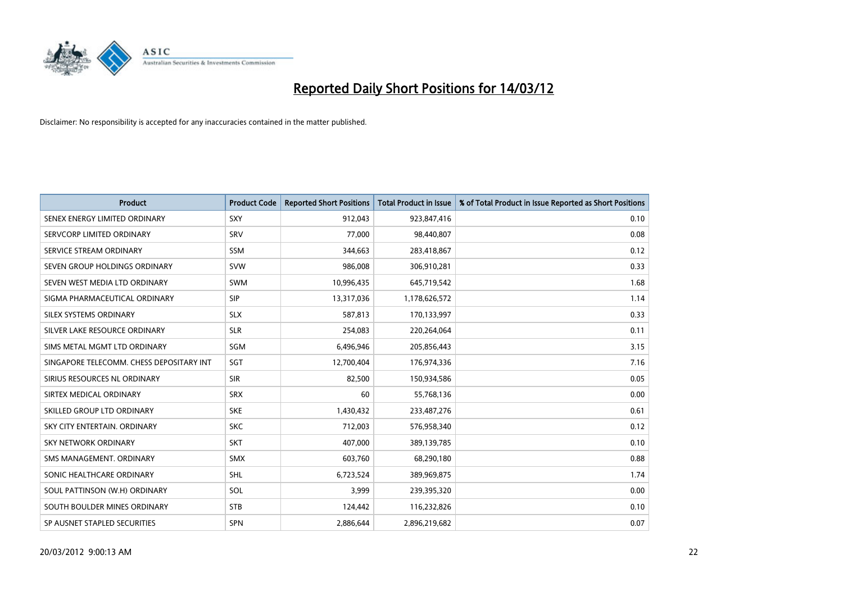

| <b>Product</b>                           | <b>Product Code</b> | <b>Reported Short Positions</b> | <b>Total Product in Issue</b> | % of Total Product in Issue Reported as Short Positions |
|------------------------------------------|---------------------|---------------------------------|-------------------------------|---------------------------------------------------------|
| SENEX ENERGY LIMITED ORDINARY            | SXY                 | 912,043                         | 923,847,416                   | 0.10                                                    |
| SERVCORP LIMITED ORDINARY                | <b>SRV</b>          | 77,000                          | 98,440,807                    | 0.08                                                    |
| SERVICE STREAM ORDINARY                  | <b>SSM</b>          | 344,663                         | 283,418,867                   | 0.12                                                    |
| SEVEN GROUP HOLDINGS ORDINARY            | <b>SVW</b>          | 986,008                         | 306,910,281                   | 0.33                                                    |
| SEVEN WEST MEDIA LTD ORDINARY            | <b>SWM</b>          | 10,996,435                      | 645,719,542                   | 1.68                                                    |
| SIGMA PHARMACEUTICAL ORDINARY            | <b>SIP</b>          | 13,317,036                      | 1,178,626,572                 | 1.14                                                    |
| SILEX SYSTEMS ORDINARY                   | <b>SLX</b>          | 587,813                         | 170,133,997                   | 0.33                                                    |
| SILVER LAKE RESOURCE ORDINARY            | <b>SLR</b>          | 254,083                         | 220,264,064                   | 0.11                                                    |
| SIMS METAL MGMT LTD ORDINARY             | SGM                 | 6,496,946                       | 205,856,443                   | 3.15                                                    |
| SINGAPORE TELECOMM. CHESS DEPOSITARY INT | SGT                 | 12,700,404                      | 176,974,336                   | 7.16                                                    |
| SIRIUS RESOURCES NL ORDINARY             | <b>SIR</b>          | 82,500                          | 150,934,586                   | 0.05                                                    |
| SIRTEX MEDICAL ORDINARY                  | <b>SRX</b>          | 60                              | 55,768,136                    | 0.00                                                    |
| SKILLED GROUP LTD ORDINARY               | <b>SKE</b>          | 1,430,432                       | 233,487,276                   | 0.61                                                    |
| SKY CITY ENTERTAIN, ORDINARY             | <b>SKC</b>          | 712,003                         | 576,958,340                   | 0.12                                                    |
| <b>SKY NETWORK ORDINARY</b>              | <b>SKT</b>          | 407,000                         | 389,139,785                   | 0.10                                                    |
| SMS MANAGEMENT, ORDINARY                 | <b>SMX</b>          | 603,760                         | 68,290,180                    | 0.88                                                    |
| SONIC HEALTHCARE ORDINARY                | <b>SHL</b>          | 6,723,524                       | 389,969,875                   | 1.74                                                    |
| SOUL PATTINSON (W.H) ORDINARY            | <b>SOL</b>          | 3,999                           | 239,395,320                   | 0.00                                                    |
| SOUTH BOULDER MINES ORDINARY             | <b>STB</b>          | 124,442                         | 116,232,826                   | 0.10                                                    |
| SP AUSNET STAPLED SECURITIES             | SPN                 | 2,886,644                       | 2,896,219,682                 | 0.07                                                    |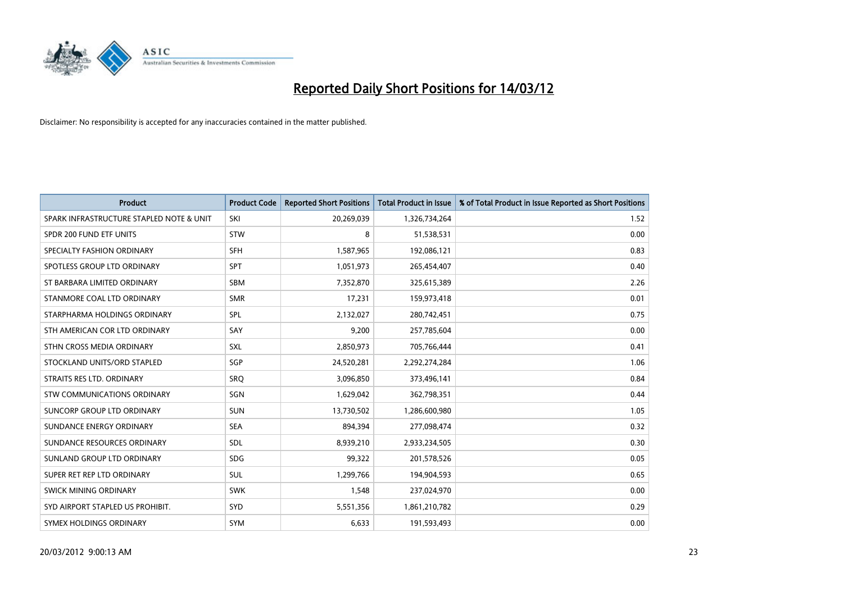

| <b>Product</b>                           | <b>Product Code</b> | <b>Reported Short Positions</b> | <b>Total Product in Issue</b> | % of Total Product in Issue Reported as Short Positions |
|------------------------------------------|---------------------|---------------------------------|-------------------------------|---------------------------------------------------------|
| SPARK INFRASTRUCTURE STAPLED NOTE & UNIT | SKI                 | 20,269,039                      | 1,326,734,264                 | 1.52                                                    |
| SPDR 200 FUND ETF UNITS                  | <b>STW</b>          | 8                               | 51,538,531                    | 0.00                                                    |
| SPECIALTY FASHION ORDINARY               | <b>SFH</b>          | 1,587,965                       | 192,086,121                   | 0.83                                                    |
| SPOTLESS GROUP LTD ORDINARY              | <b>SPT</b>          | 1,051,973                       | 265,454,407                   | 0.40                                                    |
| ST BARBARA LIMITED ORDINARY              | <b>SBM</b>          | 7,352,870                       | 325,615,389                   | 2.26                                                    |
| STANMORE COAL LTD ORDINARY               | <b>SMR</b>          | 17,231                          | 159,973,418                   | 0.01                                                    |
| STARPHARMA HOLDINGS ORDINARY             | SPL                 | 2,132,027                       | 280,742,451                   | 0.75                                                    |
| STH AMERICAN COR LTD ORDINARY            | SAY                 | 9,200                           | 257,785,604                   | 0.00                                                    |
| STHN CROSS MEDIA ORDINARY                | <b>SXL</b>          | 2,850,973                       | 705,766,444                   | 0.41                                                    |
| STOCKLAND UNITS/ORD STAPLED              | SGP                 | 24,520,281                      | 2,292,274,284                 | 1.06                                                    |
| STRAITS RES LTD. ORDINARY                | SRO                 | 3,096,850                       | 373,496,141                   | 0.84                                                    |
| STW COMMUNICATIONS ORDINARY              | <b>SGN</b>          | 1,629,042                       | 362,798,351                   | 0.44                                                    |
| SUNCORP GROUP LTD ORDINARY               | <b>SUN</b>          | 13,730,502                      | 1,286,600,980                 | 1.05                                                    |
| SUNDANCE ENERGY ORDINARY                 | <b>SEA</b>          | 894,394                         | 277,098,474                   | 0.32                                                    |
| SUNDANCE RESOURCES ORDINARY              | <b>SDL</b>          | 8,939,210                       | 2,933,234,505                 | 0.30                                                    |
| SUNLAND GROUP LTD ORDINARY               | <b>SDG</b>          | 99,322                          | 201,578,526                   | 0.05                                                    |
| SUPER RET REP LTD ORDINARY               | SUL                 | 1,299,766                       | 194,904,593                   | 0.65                                                    |
| SWICK MINING ORDINARY                    | <b>SWK</b>          | 1,548                           | 237,024,970                   | 0.00                                                    |
| SYD AIRPORT STAPLED US PROHIBIT.         | SYD                 | 5,551,356                       | 1,861,210,782                 | 0.29                                                    |
| SYMEX HOLDINGS ORDINARY                  | <b>SYM</b>          | 6,633                           | 191,593,493                   | 0.00                                                    |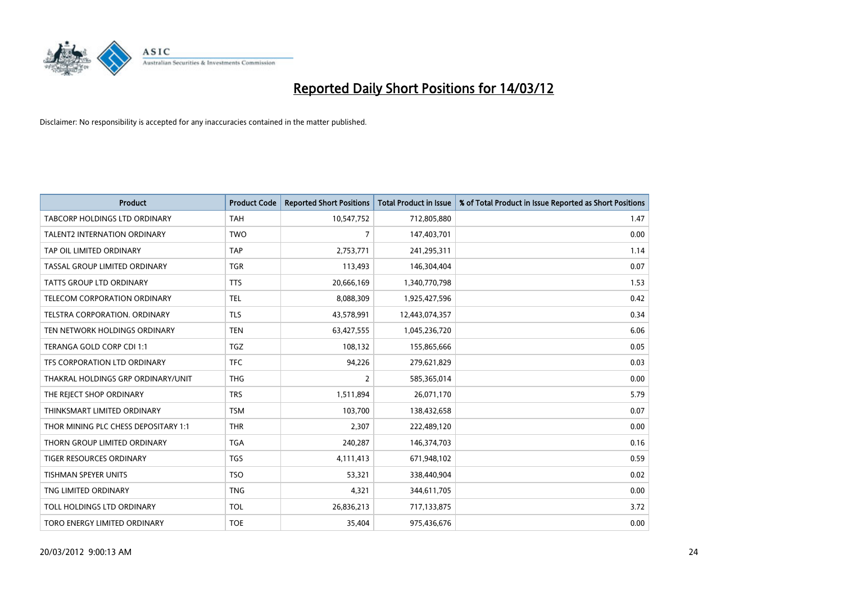

| <b>Product</b>                       | <b>Product Code</b> | <b>Reported Short Positions</b> | <b>Total Product in Issue</b> | % of Total Product in Issue Reported as Short Positions |
|--------------------------------------|---------------------|---------------------------------|-------------------------------|---------------------------------------------------------|
| TABCORP HOLDINGS LTD ORDINARY        | <b>TAH</b>          | 10,547,752                      | 712,805,880                   | 1.47                                                    |
| TALENT2 INTERNATION ORDINARY         | <b>TWO</b>          | 7                               | 147,403,701                   | 0.00                                                    |
| TAP OIL LIMITED ORDINARY             | <b>TAP</b>          | 2,753,771                       | 241,295,311                   | 1.14                                                    |
| TASSAL GROUP LIMITED ORDINARY        | <b>TGR</b>          | 113,493                         | 146,304,404                   | 0.07                                                    |
| <b>TATTS GROUP LTD ORDINARY</b>      | <b>TTS</b>          | 20,666,169                      | 1,340,770,798                 | 1.53                                                    |
| TELECOM CORPORATION ORDINARY         | <b>TEL</b>          | 8,088,309                       | 1,925,427,596                 | 0.42                                                    |
| TELSTRA CORPORATION, ORDINARY        | <b>TLS</b>          | 43,578,991                      | 12,443,074,357                | 0.34                                                    |
| TEN NETWORK HOLDINGS ORDINARY        | <b>TEN</b>          | 63,427,555                      | 1,045,236,720                 | 6.06                                                    |
| TERANGA GOLD CORP CDI 1:1            | <b>TGZ</b>          | 108,132                         | 155,865,666                   | 0.05                                                    |
| TFS CORPORATION LTD ORDINARY         | <b>TFC</b>          | 94,226                          | 279,621,829                   | 0.03                                                    |
| THAKRAL HOLDINGS GRP ORDINARY/UNIT   | <b>THG</b>          | $\overline{2}$                  | 585,365,014                   | 0.00                                                    |
| THE REJECT SHOP ORDINARY             | <b>TRS</b>          | 1,511,894                       | 26,071,170                    | 5.79                                                    |
| THINKSMART LIMITED ORDINARY          | <b>TSM</b>          | 103,700                         | 138,432,658                   | 0.07                                                    |
| THOR MINING PLC CHESS DEPOSITARY 1:1 | <b>THR</b>          | 2,307                           | 222,489,120                   | 0.00                                                    |
| THORN GROUP LIMITED ORDINARY         | <b>TGA</b>          | 240,287                         | 146,374,703                   | 0.16                                                    |
| TIGER RESOURCES ORDINARY             | <b>TGS</b>          | 4,111,413                       | 671,948,102                   | 0.59                                                    |
| TISHMAN SPEYER UNITS                 | <b>TSO</b>          | 53,321                          | 338,440,904                   | 0.02                                                    |
| TNG LIMITED ORDINARY                 | <b>TNG</b>          | 4,321                           | 344,611,705                   | 0.00                                                    |
| TOLL HOLDINGS LTD ORDINARY           | <b>TOL</b>          | 26,836,213                      | 717,133,875                   | 3.72                                                    |
| TORO ENERGY LIMITED ORDINARY         | <b>TOE</b>          | 35,404                          | 975,436,676                   | 0.00                                                    |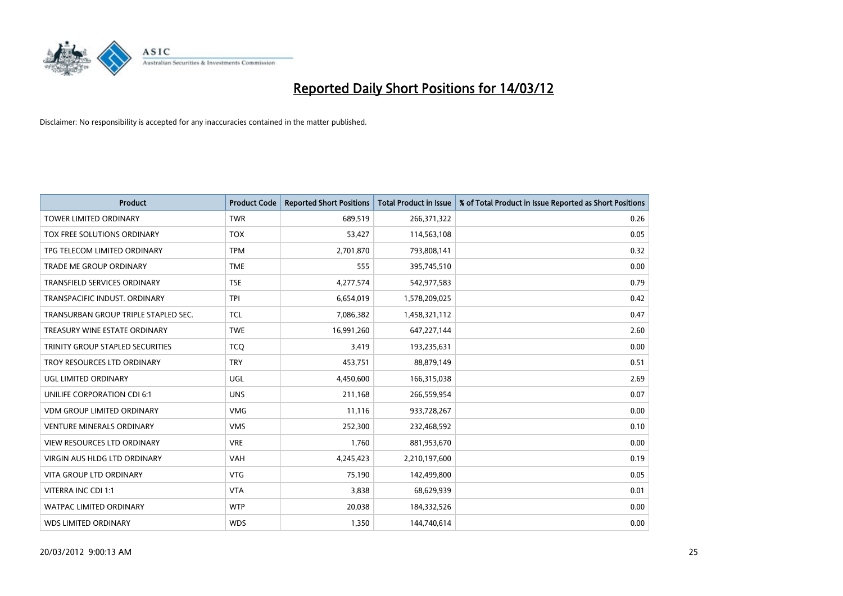

| <b>Product</b>                       | <b>Product Code</b> | <b>Reported Short Positions</b> | <b>Total Product in Issue</b> | % of Total Product in Issue Reported as Short Positions |
|--------------------------------------|---------------------|---------------------------------|-------------------------------|---------------------------------------------------------|
| <b>TOWER LIMITED ORDINARY</b>        | <b>TWR</b>          | 689,519                         | 266,371,322                   | 0.26                                                    |
| TOX FREE SOLUTIONS ORDINARY          | <b>TOX</b>          | 53,427                          | 114,563,108                   | 0.05                                                    |
| TPG TELECOM LIMITED ORDINARY         | <b>TPM</b>          | 2,701,870                       | 793,808,141                   | 0.32                                                    |
| <b>TRADE ME GROUP ORDINARY</b>       | <b>TME</b>          | 555                             | 395,745,510                   | 0.00                                                    |
| <b>TRANSFIELD SERVICES ORDINARY</b>  | <b>TSE</b>          | 4,277,574                       | 542,977,583                   | 0.79                                                    |
| TRANSPACIFIC INDUST, ORDINARY        | <b>TPI</b>          | 6,654,019                       | 1,578,209,025                 | 0.42                                                    |
| TRANSURBAN GROUP TRIPLE STAPLED SEC. | <b>TCL</b>          | 7,086,382                       | 1,458,321,112                 | 0.47                                                    |
| TREASURY WINE ESTATE ORDINARY        | <b>TWE</b>          | 16,991,260                      | 647,227,144                   | 2.60                                                    |
| TRINITY GROUP STAPLED SECURITIES     | <b>TCO</b>          | 3,419                           | 193,235,631                   | 0.00                                                    |
| TROY RESOURCES LTD ORDINARY          | <b>TRY</b>          | 453,751                         | 88,879,149                    | 0.51                                                    |
| UGL LIMITED ORDINARY                 | UGL                 | 4,450,600                       | 166,315,038                   | 2.69                                                    |
| UNILIFE CORPORATION CDI 6:1          | <b>UNS</b>          | 211,168                         | 266,559,954                   | 0.07                                                    |
| VDM GROUP LIMITED ORDINARY           | <b>VMG</b>          | 11,116                          | 933,728,267                   | 0.00                                                    |
| <b>VENTURE MINERALS ORDINARY</b>     | <b>VMS</b>          | 252,300                         | 232,468,592                   | 0.10                                                    |
| VIEW RESOURCES LTD ORDINARY          | <b>VRE</b>          | 1,760                           | 881,953,670                   | 0.00                                                    |
| <b>VIRGIN AUS HLDG LTD ORDINARY</b>  | VAH                 | 4,245,423                       | 2,210,197,600                 | 0.19                                                    |
| <b>VITA GROUP LTD ORDINARY</b>       | <b>VTG</b>          | 75,190                          | 142,499,800                   | 0.05                                                    |
| VITERRA INC CDI 1:1                  | <b>VTA</b>          | 3.838                           | 68,629,939                    | 0.01                                                    |
| <b>WATPAC LIMITED ORDINARY</b>       | <b>WTP</b>          | 20,038                          | 184,332,526                   | 0.00                                                    |
| <b>WDS LIMITED ORDINARY</b>          | <b>WDS</b>          | 1,350                           | 144,740,614                   | 0.00                                                    |